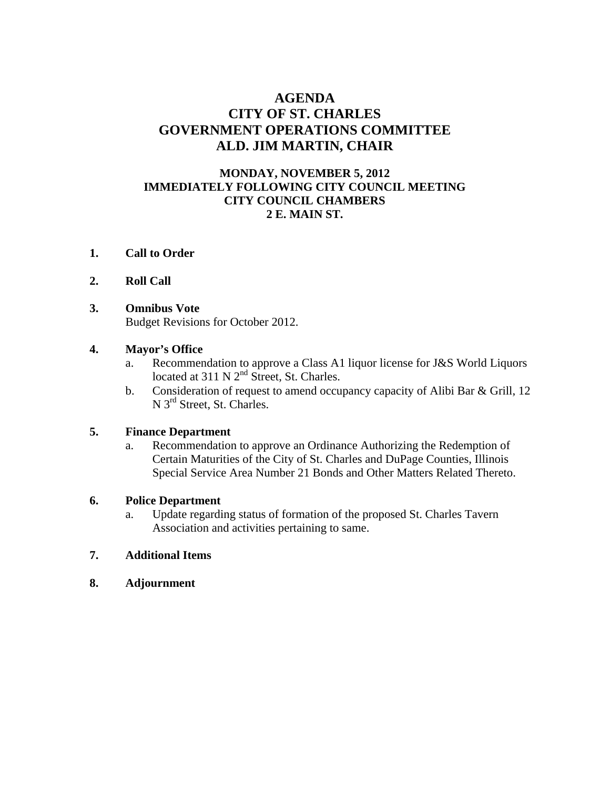## **AGENDA CITY OF ST. CHARLES GOVERNMENT OPERATIONS COMMITTEE ALD. JIM MARTIN, CHAIR**

## **MONDAY, NOVEMBER 5, 2012 IMMEDIATELY FOLLOWING CITY COUNCIL MEETING CITY COUNCIL CHAMBERS 2 E. MAIN ST.**

- **1. Call to Order**
- **2. Roll Call**
- **3. Omnibus Vote**

Budget Revisions for October 2012.

#### **4. Mayor's Office**

- a. Recommendation to approve a Class A1 liquor license for J&S World Liquors located at  $311 \text{ N } 2^{\text{nd}}$  Street, St. Charles.
- b. Consideration of request to amend occupancy capacity of Alibi Bar & Grill, 12 N 3<sup>rd</sup> Street, St. Charles.

#### **5. Finance Department**

 a. Recommendation to approve an Ordinance Authorizing the Redemption of Certain Maturities of the City of St. Charles and DuPage Counties, Illinois Special Service Area Number 21 Bonds and Other Matters Related Thereto.

#### **6. Police Department**

 a. Update regarding status of formation of the proposed St. Charles Tavern Association and activities pertaining to same.

## **7. Additional Items**

**8. Adjournment**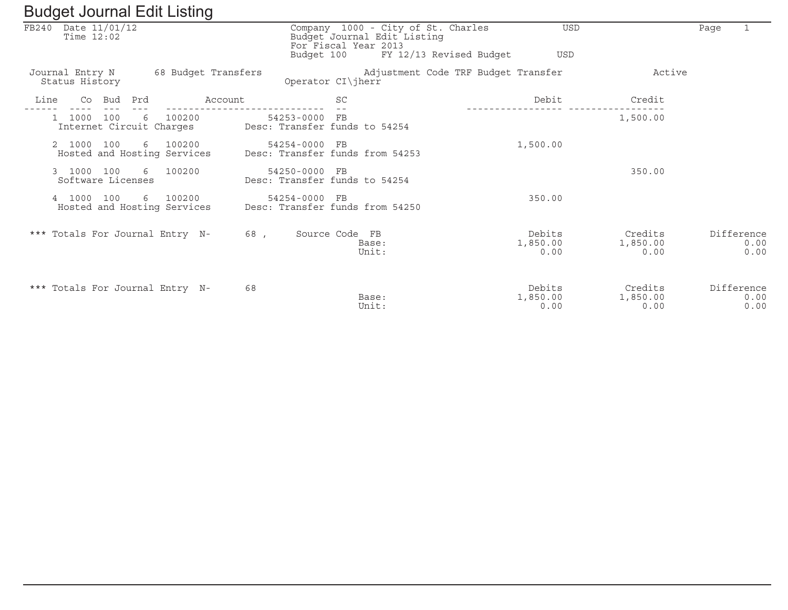|       | ັ                                 |        |     | ັ                                       |         |                                                  |                             |                                                               |                            |                             |      |                            |
|-------|-----------------------------------|--------|-----|-----------------------------------------|---------|--------------------------------------------------|-----------------------------|---------------------------------------------------------------|----------------------------|-----------------------------|------|----------------------------|
| FB240 | Date 11/01/12<br>Time $12:02$     |        |     |                                         |         | For Fiscal Year 2013<br>Budget 100               | Budget Journal Edit Listing | Company 1000 - City of St. Charles<br>FY 12/13 Revised Budget | <b>USD</b><br><b>USD</b>   |                             | Page |                            |
|       | Journal Entry N<br>Status History |        |     | 68 Budget Transfers                     |         | Operator CI\jherr                                |                             | Adjustment Code TRF Budget Transfer                           |                            | Active                      |      |                            |
| Line  |                                   | Co Bud | Prd |                                         | Account | <b>SC</b>                                        |                             |                                                               | Debit                      | Credit                      |      |                            |
|       | 1000                              | 100    | 6   | 100200<br>Internet Circuit Charges      |         | 54253-0000 FB<br>Desc: Transfer funds to 54254   |                             |                                                               |                            | 1,500.00                    |      |                            |
|       | 2 1000 100                        |        |     | 6 100200<br>Hosted and Hosting Services |         | 54254-0000 FB<br>Desc: Transfer funds from 54253 |                             |                                                               | 1,500.00                   |                             |      |                            |
|       | 3 1000 100<br>Software Licenses   |        |     | 6 100200                                |         | 54250-0000 FB<br>Desc: Transfer funds to 54254   |                             |                                                               |                            | 350.00                      |      |                            |
|       | 4 1000                            | 100    |     | 6 100200<br>Hosted and Hosting Services |         | 54254-0000 FB<br>Desc: Transfer funds from 54250 |                             |                                                               | 350.00                     |                             |      |                            |
|       |                                   |        |     | *** Totals For Journal Entry N-         | 68,     | Source Code FB                                   | Base:<br>Unit:              |                                                               | Debits<br>1,850.00<br>0.00 | Credits<br>1,850.00<br>0.00 |      | Difference<br>0.00<br>0.00 |
|       |                                   |        |     | *** Totals For Journal Entry N-         | 68      |                                                  | Base:<br>Unit:              |                                                               | Debits<br>1,850.00<br>0.00 | Credits<br>1,850.00<br>0.00 |      | Difference<br>0.00<br>0.00 |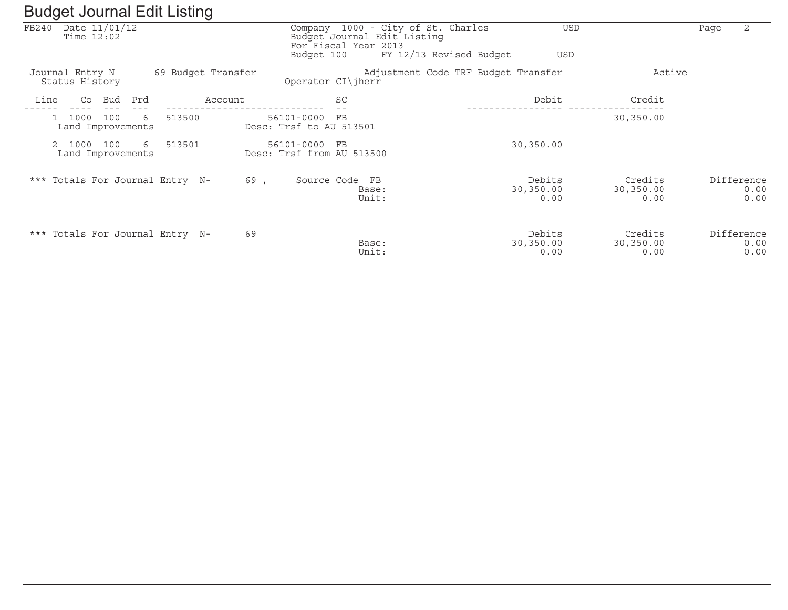| ັ                                                | ັ                  |                                            |                                                                                           |                                     |                              |                            |
|--------------------------------------------------|--------------------|--------------------------------------------|-------------------------------------------------------------------------------------------|-------------------------------------|------------------------------|----------------------------|
| Date 11/01/12<br>FB240<br>Time $12:02$           |                    |                                            | Company 1000 - City of St. Charles<br>Budget Journal Edit Listing<br>For Fiscal Year 2013 | USD                                 |                              | 2<br>Page                  |
|                                                  |                    | Budget 100                                 |                                                                                           | FY 12/13 Revised Budget<br>USD      |                              |                            |
| Journal Entry N<br>Status History                | 69 Budget Transfer |                                            | Operator CI\jherr                                                                         | Adjustment Code TRF Budget Transfer | Active                       |                            |
| Line<br>Co<br>Bud                                | Prd<br>Account     |                                            | SC                                                                                        | Debit                               | Credit                       |                            |
| 1000<br>100<br>$\mathbf{1}$<br>Land Improvements | 513500<br>6        | 56101-0000<br>Desc: Trsf to AU 513501      | $_{\rm FB}$                                                                               |                                     | 30,350.00                    |                            |
| 1000<br>100<br>Land Improvements                 | 513501<br>6        | 56101-0000 FB<br>Desc: Trsf from AU 513500 |                                                                                           | 30,350.00                           |                              |                            |
| *** Totals For Journal Entry N-                  |                    | 69,                                        | Source Code FB<br>Base:<br>Unit:                                                          | Debits<br>30,350.00<br>0.00         | Credits<br>30,350.00<br>0.00 | Difference<br>0.00<br>0.00 |
| *** Totals For Journal Entry N-                  |                    | 69                                         | Base:<br>Unit:                                                                            | Debits<br>30,350.00<br>0.00         | Credits<br>30,350.00<br>0.00 | Difference<br>0.00<br>0.00 |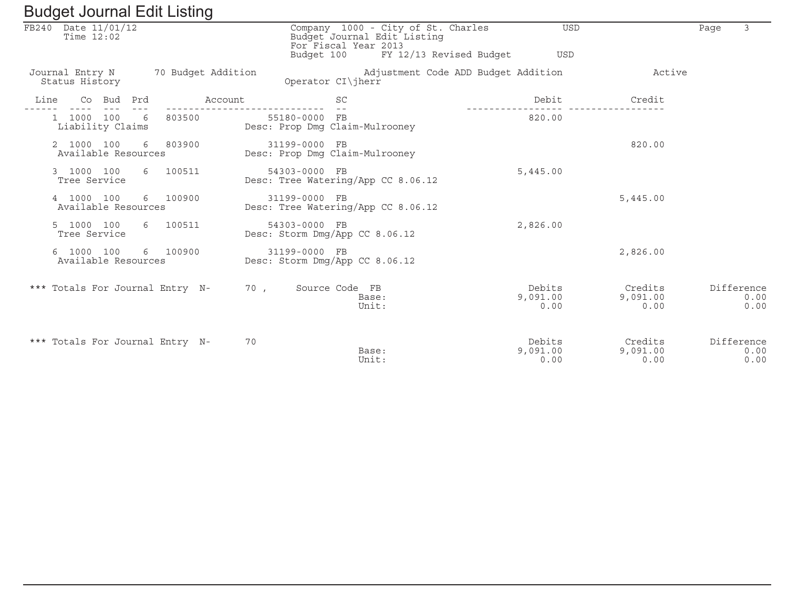| Buyyot bournar Eure Elberry                          |                                                                                                                                 |                            |                             |                            |
|------------------------------------------------------|---------------------------------------------------------------------------------------------------------------------------------|----------------------------|-----------------------------|----------------------------|
| FB240 Date 11/01/12<br>Time $12:02$                  | Company 1000 - City of St. Charles<br>Budget Journal Edit Listing<br>For Fiscal Year 2013<br>Budget 100 FY 12/13 Revised Budget | <b>USD</b><br>USD          |                             | 3<br>Page                  |
| Journal Entry N 70 Budget Addition<br>Status History | Adjustment Code ADD Budget Addition<br>Operator CI\jherr                                                                        |                            | Active                      |                            |
| Account<br>Co Bud Prd<br>Line                        | <b>SC</b>                                                                                                                       | Debit                      | Credit                      |                            |
| 1 1000 100 6 803500<br>Liability Claims              | 55180-0000 FB<br>Desc: Prop Dmg Claim-Mulrooney                                                                                 | 820.00                     |                             |                            |
| 6 803900<br>2 1000 100<br>Available Resources        | 31199-0000 FB<br>Desc: Prop Dmg Claim-Mulrooney                                                                                 |                            | 820.00                      |                            |
| 6 100511<br>3 1000 100<br>Tree Service               | 54303-0000 FB<br>Desc: Tree Watering/App CC 8.06.12                                                                             | 5,445.00                   |                             |                            |
| 6 100900<br>4 1000 100<br>Available Resources        | 31199-0000 FB<br>Desc: Tree Watering/App CC 8.06.12                                                                             |                            | 5,445.00                    |                            |
| 6 100511<br>5 1000 100<br>Tree Service               | 54303-0000 FB<br>Desc: Storm Dmg/App CC 8.06.12                                                                                 | 2,826.00                   |                             |                            |
| 6 1000 100<br>6 100900<br>Available Resources        | 31199-0000 FB<br>Desc: Storm Dmg/App CC 8.06.12                                                                                 |                            | 2,826.00                    |                            |
| *** Totals For Journal Entry N- 70, Source Code FB   | Base:<br>Unit:                                                                                                                  | Debits<br>9,091.00<br>0.00 | Credits<br>9,091.00<br>0.00 | Difference<br>0.00<br>0.00 |
| *** Totals For Journal Entry N-                      | 70<br>Base:<br>Unit:                                                                                                            | Debits<br>9,091.00<br>0.00 | Credits<br>9,091.00<br>0.00 | Difference<br>0.00<br>0.00 |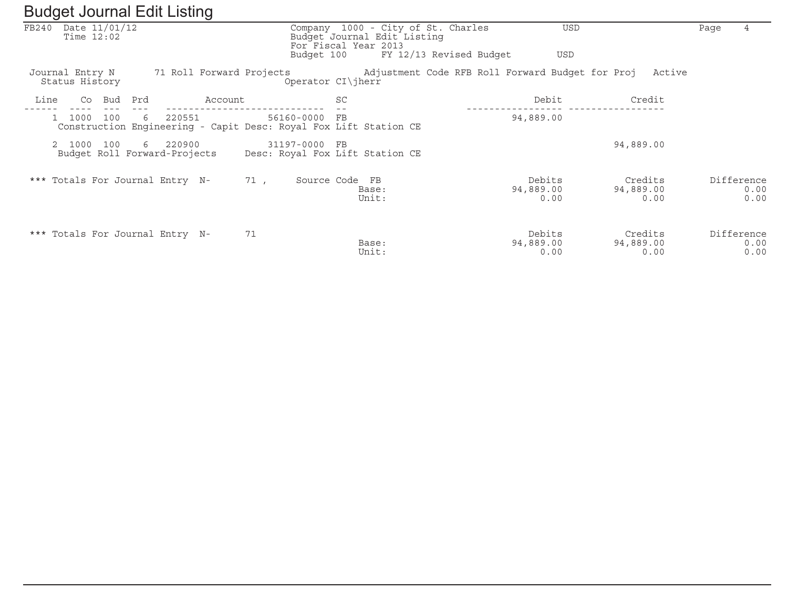| FB240 | Date 11/01/12<br>Time $12:02$     |            |                                          |         |     |                      |                | Company 1000 - City of St. Charles<br>Budget Journal Edit Listing<br>For Fiscal Year 2013 |                         | <b>USD</b>                                              |                              | Page | $\overline{4}$             |
|-------|-----------------------------------|------------|------------------------------------------|---------|-----|----------------------|----------------|-------------------------------------------------------------------------------------------|-------------------------|---------------------------------------------------------|------------------------------|------|----------------------------|
|       |                                   |            |                                          |         |     | Budget 100           |                |                                                                                           | FY 12/13 Revised Budget | <b>USD</b>                                              |                              |      |                            |
|       | Journal Entry N<br>Status History |            | 71 Roll Forward Projects                 |         |     | Operator $CI\ $ herr |                |                                                                                           |                         | Adjustment Code RFB Roll Forward Budget for Proj Active |                              |      |                            |
| Line  | Co                                | Bud<br>Prd |                                          | Account |     |                      | SC             |                                                                                           |                         | Debit                                                   | Credit                       |      |                            |
|       | 1000                              | 100        | 220551<br>6                              |         |     | 56160-0000           | FB             | Construction Engineering - Capit Desc: Royal Fox Lift Station CE                          |                         | 94,889.00                                               |                              |      |                            |
|       | 2 1000                            | 100        | 6 220900<br>Budget Roll Forward-Projects |         |     | 31197-0000           | F <sub>B</sub> | Desc: Royal Fox Lift Station CE                                                           |                         |                                                         | 94,889.00                    |      |                            |
|       |                                   |            | *** Totals For Journal Entry N-          |         | 71, | Source Code FB       |                | Base:<br>Unit:                                                                            |                         | Debits<br>94,889.00<br>0.00                             | Credits<br>94,889.00<br>0.00 |      | Difference<br>0.00<br>0.00 |
|       |                                   |            | *** Totals For Journal Entry N-          |         | 71  |                      |                | Base:<br>Unit:                                                                            |                         | Debits<br>94,889.00<br>0.00                             | Credits<br>94,889.00<br>0.00 |      | Difference<br>0.00<br>0.00 |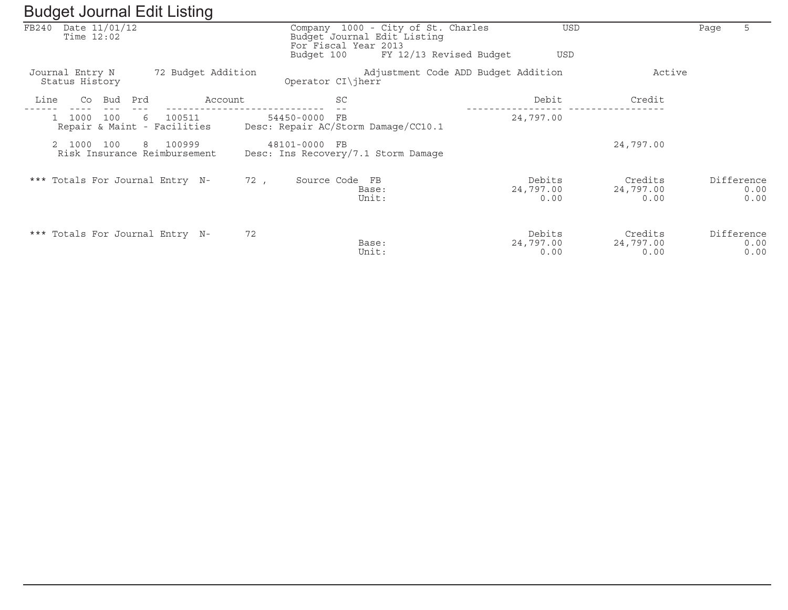| FB240 | Date 11/01/12<br>Time $12:02$                 |                    |     | Company 1000 - City of St. Charles<br>Budget Journal Edit Listing<br>For Fiscal Year 2013 |                                     | <b>USD</b>                   | 5<br>Page                  |
|-------|-----------------------------------------------|--------------------|-----|-------------------------------------------------------------------------------------------|-------------------------------------|------------------------------|----------------------------|
|       |                                               |                    |     | Budget 100                                                                                | FY 12/13 Revised Budget             | USD                          |                            |
|       | Journal Entry N<br>Status History             | 72 Budget Addition |     | Operator $CI\ $ herr                                                                      | Adjustment Code ADD Budget Addition | Active                       |                            |
| Line  | Bud<br>Co                                     | Prd<br>Account     |     | <b>SC</b>                                                                                 | Debit                               | Credit                       |                            |
|       | 1000<br>100<br>Repair & Maint - Facilities    | 100511<br>6        |     | 54450-0000<br>FB<br>Desc: Repair AC/Storm Damage/CC10.1                                   | 24,797.00                           |                              |                            |
|       | 2 1000<br>100<br>Risk Insurance Reimbursement | 8 100999           |     | 48101-0000 FB<br>Desc: Ins Recovery/7.1 Storm Damage                                      |                                     | 24,797.00                    |                            |
|       | *** Totals For Journal Entry N-               |                    | 72, | Source Code FB<br>Base:<br>Unit:                                                          | Debits<br>24,797.00<br>0.00         | Credits<br>24,797.00<br>0.00 | Difference<br>0.00<br>0.00 |
|       | *** Totals For Journal Entry N-               |                    | 72  | Base:<br>Unit:                                                                            | Debits<br>24,797.00<br>0.00         | Credits<br>24,797.00<br>0.00 | Difference<br>0.00<br>0.00 |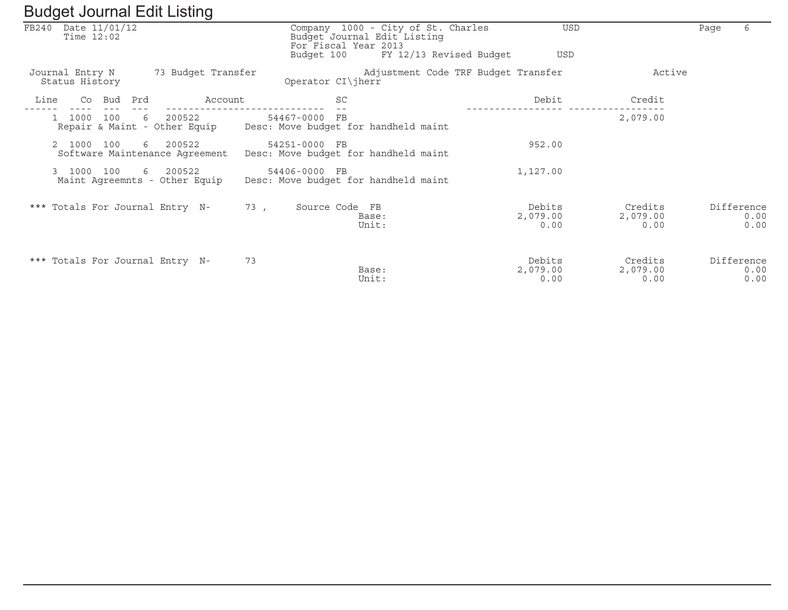|       |                                   |     |     | $\checkmark$                             |               |                      |                                                                   |                         |                            |                             |      |                            |
|-------|-----------------------------------|-----|-----|------------------------------------------|---------------|----------------------|-------------------------------------------------------------------|-------------------------|----------------------------|-----------------------------|------|----------------------------|
| FB240 | Date 11/01/12<br>Time $12:02$     |     |     |                                          |               | For Fiscal Year 2013 | Company 1000 - City of St. Charles<br>Budget Journal Edit Listing |                         | USD                        |                             | Page | 6                          |
|       |                                   |     |     |                                          |               | Budget 100           |                                                                   | FY 12/13 Revised Budget | <b>USD</b>                 |                             |      |                            |
|       | Journal Entry N<br>Status History |     |     | 73 Budget Transfer                       |               | Operator $CI\ $ herr | Adjustment Code TRF Budget Transfer                               |                         |                            | Active                      |      |                            |
| Line  | Co                                | Bud | Prd | Account                                  |               | SC                   |                                                                   |                         | Debit                      | Credit                      |      |                            |
|       | 1000                              | 100 | 6   | 200522<br>Repair & Maint - Other Equip   | 54467-0000    | FB                   | Desc: Move budget for handheld maint                              |                         |                            | 2,079.00                    |      |                            |
|       | 2 1000                            | 100 | 6   | 200522<br>Software Maintenance Agreement | 54251-0000 FB |                      | Desc: Move budget for handheld maint                              |                         | 952.00                     |                             |      |                            |
|       | 3 1000                            | 100 | 6   | 200522<br>Maint Agreemnts - Other Equip  | 54406-0000 FB |                      | Desc: Move budget for handheld maint                              |                         | 1,127.00                   |                             |      |                            |
|       |                                   |     |     | *** Totals For Journal Entry N-          | 73.           | Source Code FB       | Base:<br>Unit:                                                    |                         | Debits<br>2,079.00<br>0.00 | Credits<br>2,079.00<br>0.00 |      | Difference<br>0.00<br>0.00 |
|       |                                   |     |     | *** Totals For Journal Entry N-          | 73            |                      | Base:<br>Unit:                                                    |                         | Debits<br>2,079.00<br>0.00 | Credits<br>2,079.00<br>0.00 |      | Difference<br>0.00<br>0.00 |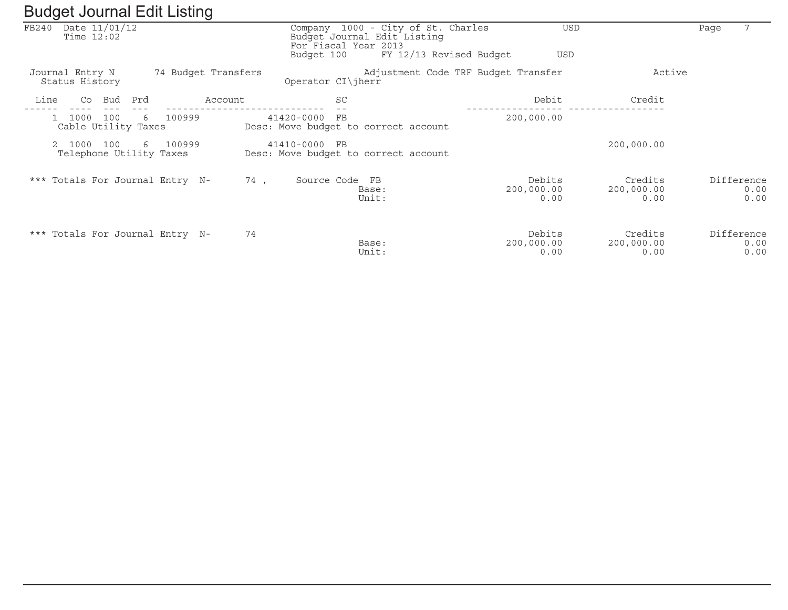| ັ     |                                          | ັ                               |         |                                                                                           |                                     |                              |                               |                            |
|-------|------------------------------------------|---------------------------------|---------|-------------------------------------------------------------------------------------------|-------------------------------------|------------------------------|-------------------------------|----------------------------|
| FB240 | Date 11/01/12<br>Time $12:02$            |                                 |         | Company 1000 - City of St. Charles<br>Budget Journal Edit Listing<br>For Fiscal Year 2013 |                                     | <b>USD</b>                   |                               | Page                       |
|       |                                          |                                 |         | Budget 100                                                                                | FY 12/13 Revised Budget             | USD                          |                               |                            |
|       | Journal Entry N<br>Status History        | 74 Budget Transfers             |         | Operator $CI\ $ herr                                                                      | Adjustment Code TRF Budget Transfer |                              | Active                        |                            |
| Line  | Bud<br>Co                                | Prd                             | Account | <b>SC</b>                                                                                 |                                     | Debit                        | Credit                        |                            |
|       | 100<br>1000<br>Cable Utility Taxes       | 100999<br>6                     |         | 41420-0000<br>FB<br>Desc: Move budget to correct account                                  |                                     | 200,000.00                   |                               |                            |
|       | 2 1000<br>100<br>Telephone Utility Taxes | 6 100999                        |         | 41410-0000 FB<br>Desc: Move budget to correct account                                     |                                     |                              | 200,000.00                    |                            |
|       |                                          | *** Totals For Journal Entry N- | 74,     | Source Code FB<br>Base:<br>Unit:                                                          |                                     | Debits<br>200,000.00<br>0.00 | Credits<br>200,000.00<br>0.00 | Difference<br>0.00<br>0.00 |
|       |                                          | *** Totals For Journal Entry N- | 74      | Base:<br>Unit:                                                                            |                                     | Debits<br>200,000.00<br>0.00 | Credits<br>200,000.00<br>0.00 | Difference<br>0.00<br>0.00 |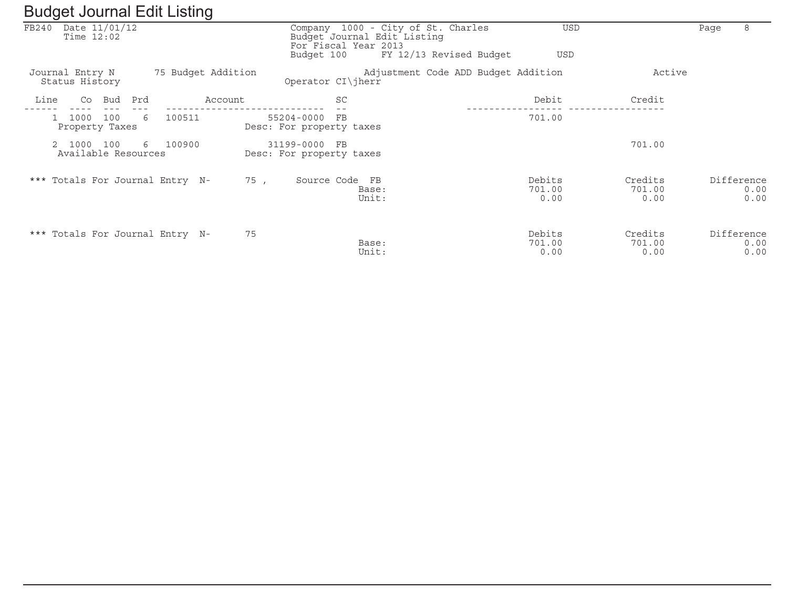|      |                                     |     |     |                                 | ັ                  |     |                                           |    |                                                                                              |                          |                           |      |                            |
|------|-------------------------------------|-----|-----|---------------------------------|--------------------|-----|-------------------------------------------|----|----------------------------------------------------------------------------------------------|--------------------------|---------------------------|------|----------------------------|
|      | FB240 Date 11/01/12<br>Time $12:02$ |     |     |                                 |                    |     | For Fiscal Year 2013<br>Budget 100        |    | Company 1000 - City of St. Charles<br>Budget Journal Edit Listing<br>FY 12/13 Revised Budget | <b>USD</b><br><b>USD</b> |                           | Page | 8                          |
|      |                                     |     |     |                                 |                    |     |                                           |    |                                                                                              |                          |                           |      |                            |
|      | Journal Entry N<br>Status History   |     |     |                                 | 75 Budget Addition |     | Operator CI\jherr                         |    | Adjustment Code ADD Budget Addition                                                          |                          | Active                    |      |                            |
| Line | Co                                  | Bud | Prd |                                 | Account            |     |                                           | SC |                                                                                              | Debit                    | Credit                    |      |                            |
|      | 1000<br>Property Taxes              | 100 | 6   | 100511                          |                    |     | 55204-0000 FB<br>Desc: For property taxes |    |                                                                                              | 701.00                   |                           |      |                            |
|      | 2 1000<br>Available Resources       | 100 |     | 6 100900                        |                    |     | 31199-0000 FB<br>Desc: For property taxes |    |                                                                                              |                          | 701.00                    |      |                            |
|      |                                     |     |     | *** Totals For Journal Entry N- |                    | 75, | Source Code FB                            |    | Base:<br>Unit:                                                                               | Debits<br>701.00<br>0.00 | Credits<br>701.00<br>0.00 |      | Difference<br>0.00<br>0.00 |
|      |                                     |     |     | *** Totals For Journal Entry N- | 75                 |     |                                           |    | Base:<br>Unit:                                                                               | Debits<br>701.00<br>0.00 | Credits<br>701.00<br>0.00 |      | Difference<br>0.00<br>0.00 |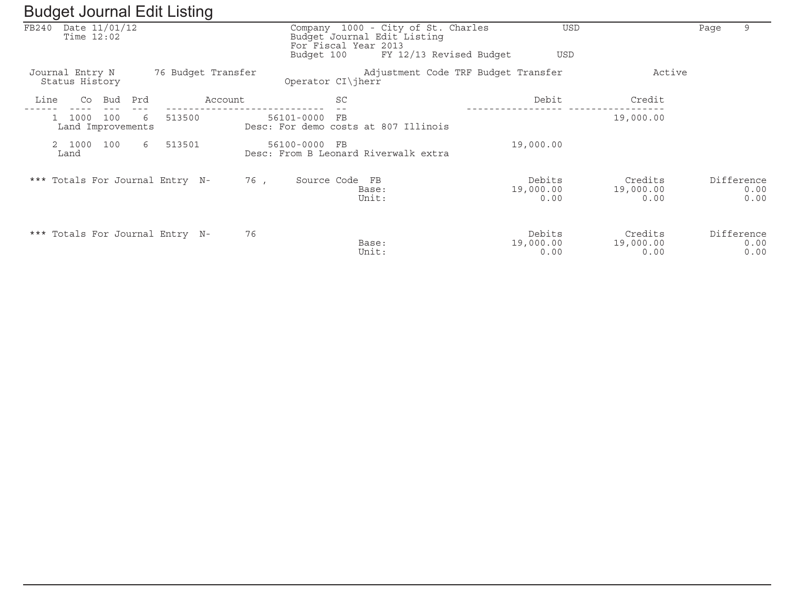|       | ັ                                 |             | $\checkmark$       |                           |                                                                   |                             |                              |                            |
|-------|-----------------------------------|-------------|--------------------|---------------------------|-------------------------------------------------------------------|-----------------------------|------------------------------|----------------------------|
| FB240 | Date 11/01/12<br>Time $12:02$     |             |                    | For Fiscal Year 2013      | Company 1000 - City of St. Charles<br>Budget Journal Edit Listing | <b>USD</b>                  |                              | 9<br>Page                  |
|       |                                   |             |                    | Budget 100                | FY 12/13 Revised Budget                                           | <b>USD</b>                  |                              |                            |
|       | Journal Entry N<br>Status History |             | 76 Budget Transfer | Operator CI\jherr         | Adjustment Code TRF Budget Transfer                               |                             | Active                       |                            |
| Line  | Bud<br>Co                         | Prd         | Account            | SC                        |                                                                   | Debit                       | Credit                       |                            |
|       | 1000<br>100<br>Land Improvements  | 513500<br>6 |                    | 56101-0000<br>FB          | Desc: For demo costs at 807 Illinois                              |                             | 19,000.00                    |                            |
|       | 2 1000<br>100<br>Land             | 513501<br>6 |                    | 56100-0000<br>$_{\rm FB}$ | Desc: From B Leonard Riverwalk extra                              | 19,000.00                   |                              |                            |
|       | *** Totals For Journal Entry N-   |             | 76,                | Source Code FB            | Base:<br>Unit:                                                    | Debits<br>19,000.00<br>0.00 | Credits<br>19,000.00<br>0.00 | Difference<br>0.00<br>0.00 |
|       | *** Totals For Journal Entry N-   |             | 76                 |                           | Base:<br>Unit:                                                    | Debits<br>19,000.00<br>0.00 | Credits<br>19,000.00<br>0.00 | Difference<br>0.00<br>0.00 |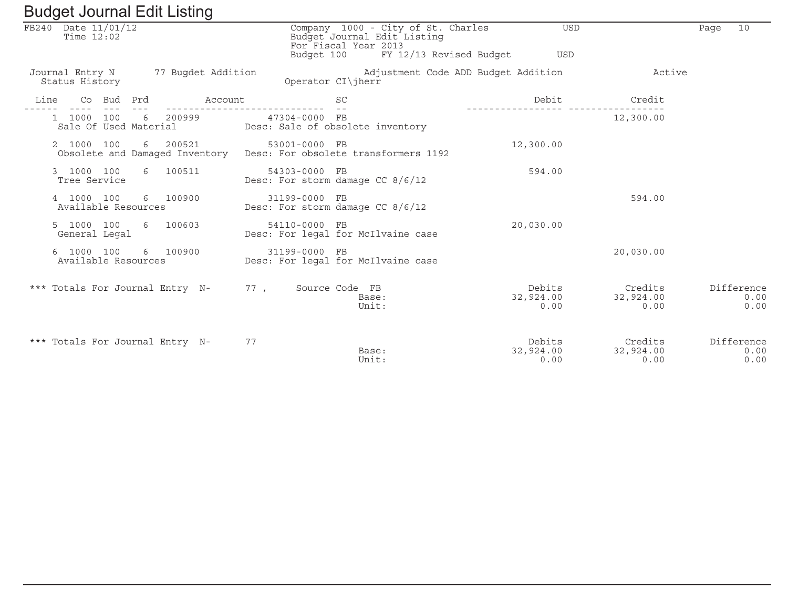| Baagot boarnar Ean Elbarra                           |                                                                                                                                 |                             |                              |                            |
|------------------------------------------------------|---------------------------------------------------------------------------------------------------------------------------------|-----------------------------|------------------------------|----------------------------|
| FB240 Date 11/01/12<br>Time $12:02$                  | Company 1000 - City of St. Charles<br>Budget Journal Edit Listing<br>For Fiscal Year 2013<br>Budget 100 FY 12/13 Revised Budget | USD<br><b>USD</b>           |                              | 10<br>Page                 |
| Journal Entry N 77 Bugdet Addition<br>Status History | Adjustment Code ADD Budget Addition<br>Operator CI\jherr                                                                        |                             | Active                       |                            |
| Account<br>Co Bud Prd<br>Line                        | <b>SC</b><br>$\sim$ $-$                                                                                                         | Debit                       | Credit                       |                            |
| 1 1000 100 6 200999                                  | 47304-0000 FB<br>Sale Of Used Material Desc: Sale of obsolete inventory                                                         |                             | 12,300.00                    |                            |
| 2 1000 100<br>6 200521                               | 53001-0000 FB<br>Obsolete and Damaged Inventory Desc: For obsolete transformers 1192                                            | 12,300.00                   |                              |                            |
| 3 1000 100<br>6 100511<br>Tree Service               | 54303-0000 FB<br>Desc: For storm damage CC 8/6/12                                                                               | 594.00                      |                              |                            |
| 4 1000 100<br>6 100900<br>Available Resources        | 31199-0000 FB<br>Desc: For storm damage CC 8/6/12                                                                               |                             | 594.00                       |                            |
| 5 1000 100<br>6 100603<br>General Legal              | 54110-0000 FB<br>Desc: For legal for McIlvaine case                                                                             | 20,030.00                   |                              |                            |
| 6 1000 100<br>6 100900<br>Available Resources        | 31199-0000 FB<br>Desc: For legal for McIlvaine case                                                                             |                             | 20,030.00                    |                            |
| *** Totals For Journal Entry N-                      | 77, Source Code FB<br>Base:<br>Unit:                                                                                            | Debits<br>32,924.00<br>0.00 | Credits<br>32,924.00<br>0.00 | Difference<br>0.00<br>0.00 |
| *** Totals For Journal Entry N-                      | 77<br>Base:<br>Unit:                                                                                                            | Debits<br>32,924.00<br>0.00 | Credits<br>32,924.00<br>0.00 | Difference<br>0.00<br>0.00 |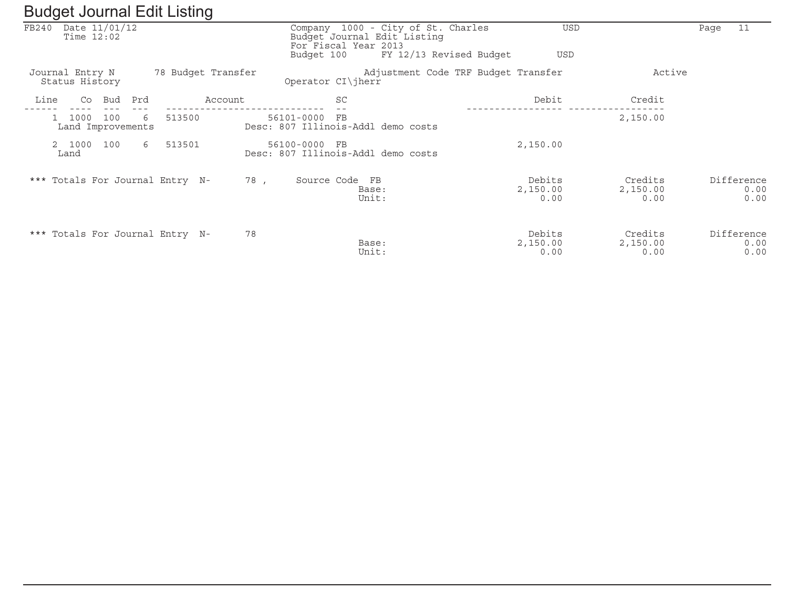| ັ                                      | ັ                  |                                                        |                                     |                             |                            |
|----------------------------------------|--------------------|--------------------------------------------------------|-------------------------------------|-----------------------------|----------------------------|
| Date 11/01/12<br>FB240<br>Time $12:02$ |                    | Budget Journal Edit Listing<br>For Fiscal Year 2013    | Company 1000 - City of St. Charles  | USD                         | 11<br>Page                 |
|                                        |                    | Budget 100                                             | FY 12/13 Revised Budget<br>USD      |                             |                            |
| Journal Entry N<br>Status History      | 78 Budget Transfer | Operator CI\jherr                                      | Adjustment Code TRF Budget Transfer | Active                      |                            |
| Line<br>Co<br>Bud                      | Prd<br>Account     | SC                                                     | Debit                               | Credit                      |                            |
| 1000<br>100<br>Land Improvements       | 513500<br>6        | 56101-0000<br>FB<br>Desc: 807 Illinois-Addl demo costs |                                     | 2,150.00                    |                            |
| 2 1000<br>100<br>Land                  | 513501<br>6        | 56100-0000 FB<br>Desc: 807 Illinois-Addl demo costs    | 2,150.00                            |                             |                            |
| *** Totals For Journal Entry N-        |                    | 78,<br>Source Code FB<br>Base:<br>Unit:                | Debits<br>2,150.00<br>0.00          | Credits<br>2,150.00<br>0.00 | Difference<br>0.00<br>0.00 |
| *** Totals For Journal Entry N-        |                    | 78<br>Base:<br>Unit:                                   | Debits<br>2,150.00<br>0.00          | Credits<br>2,150.00<br>0.00 | Difference<br>0.00<br>0.00 |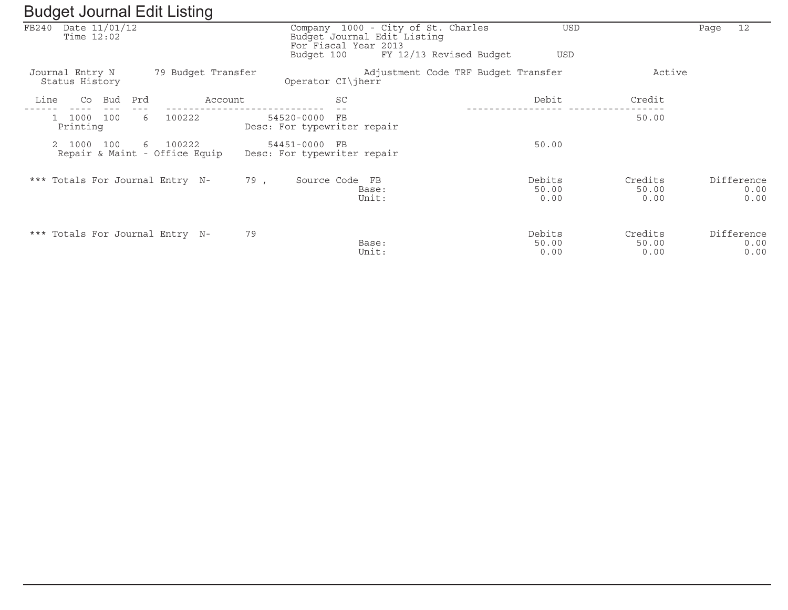|       | ັ                                              |             |                    |                                                                                                         |                                     |                          |                          |                            |
|-------|------------------------------------------------|-------------|--------------------|---------------------------------------------------------------------------------------------------------|-------------------------------------|--------------------------|--------------------------|----------------------------|
| FB240 | Date 11/01/12<br>Time $12:02$                  |             |                    | Company 1000 - City of St. Charles<br>Budget Journal Edit Listing<br>For Fiscal Year 2013<br>Budget 100 | FY 12/13 Revised Budget             | <b>USD</b><br><b>USD</b> |                          | 12<br>Paqe                 |
|       |                                                |             |                    |                                                                                                         |                                     |                          |                          |                            |
|       | Journal Entry N<br>Status History              |             | 79 Budget Transfer | Operator $CI\ $ herr                                                                                    | Adjustment Code TRF Budget Transfer |                          | Active                   |                            |
| Line  | Co Bud                                         | Prd         | Account            | SC                                                                                                      |                                     | Debit                    | Credit                   |                            |
|       | 1000 100<br>Printing                           | 100222<br>6 |                    | 54520-0000<br>$_{\rm FB}$<br>Desc: For typewriter repair                                                |                                     |                          | 50.00                    |                            |
|       | 100<br>2 1000<br>Repair & Maint - Office Equip | 6 100222    |                    | 54451-0000 FB<br>Desc: For typewriter repair                                                            |                                     | 50.00                    |                          |                            |
|       | *** Totals For Journal Entry N-                |             | 79,                | Source Code FB<br>Base:<br>Unit:                                                                        |                                     | Debits<br>50.00<br>0.00  | Credits<br>50.00<br>0.00 | Difference<br>0.00<br>0.00 |
|       | *** Totals For Journal Entry N-                |             | 79                 | Base:<br>Unit:                                                                                          |                                     | Debits<br>50.00<br>0.00  | Credits<br>50.00<br>0.00 | Difference<br>0.00<br>0.00 |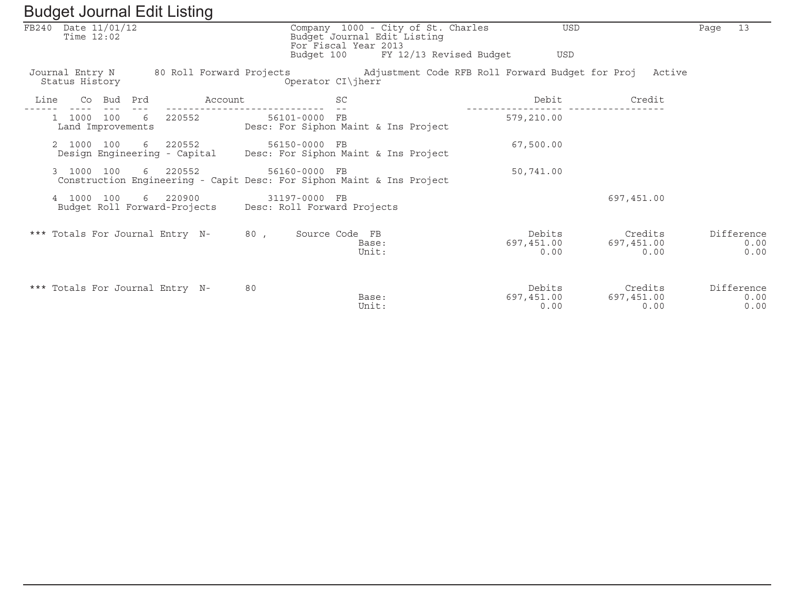|      | FB240 Date 11/01/12<br>Time $12:02$ |            |   |                                          |         |     | Company 1000 - City of St. Charles<br>Budget Journal Edit Listing<br>For Fiscal Year 2013 |                |                |                         |                                                         | <b>USD</b>     |            |                 | Page | 13                         |
|------|-------------------------------------|------------|---|------------------------------------------|---------|-----|-------------------------------------------------------------------------------------------|----------------|----------------|-------------------------|---------------------------------------------------------|----------------|------------|-----------------|------|----------------------------|
|      |                                     |            |   |                                          |         |     | Budget 100                                                                                |                |                | FY 12/13 Revised Budget |                                                         | USD            |            |                 |      |                            |
|      | Journal Entry N<br>Status History   |            |   |                                          |         |     | 80 Roll Forward Projects<br>Operator CI\jherr                                             |                |                |                         | Adjustment Code RFB Roll Forward Budget for Proj Active |                |            |                 |      |                            |
| Line |                                     | Co Bud Prd |   |                                          | Account |     |                                                                                           | <b>SC</b>      |                |                         |                                                         | Debit          |            | Credit          |      |                            |
|      | Land Improvements                   | 1000 100   | 6 | 220552                                   |         |     | 56101-0000 FB<br>Desc: For Siphon Maint & Ins Project                                     |                |                |                         | 579,210.00                                              |                |            |                 |      |                            |
|      | 2 1000                              | 100        | 6 | 220552<br>Design Engineering - Capital   |         |     | 56150-0000 FB<br>Desc: For Siphon Maint & Ins Project                                     |                |                |                         | 67,500.00                                               |                |            |                 |      |                            |
|      | 3 1000 100                          |            |   | 6 220552                                 |         |     | 56160-0000 FB<br>Construction Engineering - Capit Desc: For Siphon Maint & Ins Project    |                |                |                         | 50,741.00                                               |                |            |                 |      |                            |
|      | 4 1000                              | 100        |   | 6 220900<br>Budget Roll Forward-Projects |         |     | 31197-0000 FB<br>Desc: Roll Forward Projects                                              |                |                |                         |                                                         |                | 697,451.00 |                 |      |                            |
|      | *** Totals For Journal Entry N-     |            |   |                                          |         | 80, |                                                                                           | Source Code FB | Base:<br>Unit: |                         | 697,451.00                                              | Debits<br>0.00 | 697,451.00 | Credits<br>0.00 |      | Difference<br>0.00<br>0.00 |
|      | *** Totals For Journal Entry N-     |            |   |                                          |         | 80  |                                                                                           |                | Base:<br>Unit: |                         | 697,451.00                                              | Debits<br>0.00 | 697,451.00 | Credits<br>0.00 |      | Difference<br>0.00<br>0.00 |

 $\overline{\phantom{a}}$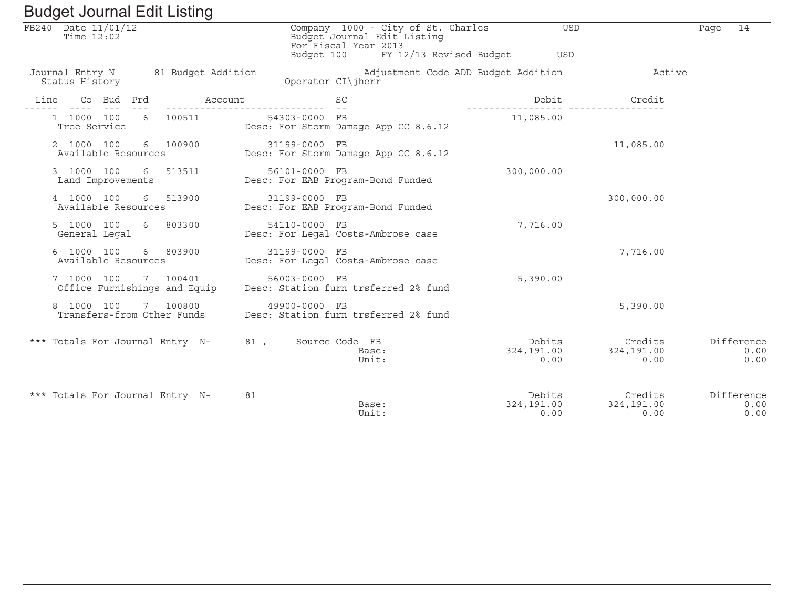| Baagot boarnar Ean Eibarig                           |                                                                                                                                 |                                                 |                                               |                            |
|------------------------------------------------------|---------------------------------------------------------------------------------------------------------------------------------|-------------------------------------------------|-----------------------------------------------|----------------------------|
| FB240 Date 11/01/12<br>Time $12:02$                  | Company 1000 - City of St. Charles<br>Budget Journal Edit Listing<br>For Fiscal Year 2013<br>Budget 100 FY 12/13 Revised Budget | <b>USD</b><br>USD                               |                                               | 14<br>Page                 |
|                                                      |                                                                                                                                 |                                                 |                                               |                            |
| Journal Entry N 81 Budget Addition<br>Status History | Operator CI\jherr                                                                                                               | Adjustment Code ADD Budget Addition The Machive |                                               |                            |
| Co Bud Prd<br>Line                                   | <b>SC</b><br>Account                                                                                                            | Debit<br>---------                              | Credit<br><u> - - - - - - - - - - - - - -</u> |                            |
| 1 1000 100 6 100511<br>Tree Service                  | 54303-0000 FB<br>Desc: For Storm Damage App CC 8.6.12                                                                           | 11,085.00                                       |                                               |                            |
| 2 1000 100<br>6 100900<br>Available Resources        | 31199-0000 FB<br>Desc: For Storm Damage App CC 8.6.12                                                                           |                                                 | 11,085.00                                     |                            |
| 3 1000 100<br>6 513511<br>Land Improvements          | 56101-0000 FB<br>Desc: For EAB Program-Bond Funded                                                                              | 300,000.00                                      |                                               |                            |
| 4 1000 100<br>6 513900<br>Available Resources        | 31199-0000 FB<br>Desc: For EAB Program-Bond Funded                                                                              |                                                 | 300,000.00                                    |                            |
| 5 1000 100 6 803300<br>General Legal                 | 54110-0000 FB<br>Desc: For Legal Costs-Ambrose case                                                                             | 7,716.00                                        |                                               |                            |
| 6 1000 100<br>6 803900<br>Available Resources        | 31199-0000 FB<br>Desc: For Legal Costs-Ambrose case                                                                             |                                                 | 7,716.00                                      |                            |
| 7 1000 100 7 100401<br>Office Furnishings and Equip  | 56003-0000 FB<br>Desc: Station furn trsferred 2% fund                                                                           | 5,390.00                                        |                                               |                            |
| 8 1000 100<br>7 100800<br>Transfers-from Other Funds | 49900-0000 FB<br>Desc: Station furn trsferred 2% fund                                                                           |                                                 | 5,390.00                                      |                            |
| *** Totals For Journal Entry N- 81,                  | Source Code FB<br>Base:<br>Unit:                                                                                                | Debits<br>324,191.00<br>0.00                    | Credits<br>324,191.00<br>0.00                 | Difference<br>0.00<br>0.00 |
| *** Totals For Journal Entry N-                      | 81<br>Base:<br>Unit:                                                                                                            | Debits<br>324,191.00<br>0.00                    | Credits<br>324,191.00<br>0.00                 | Difference<br>0.00<br>0.00 |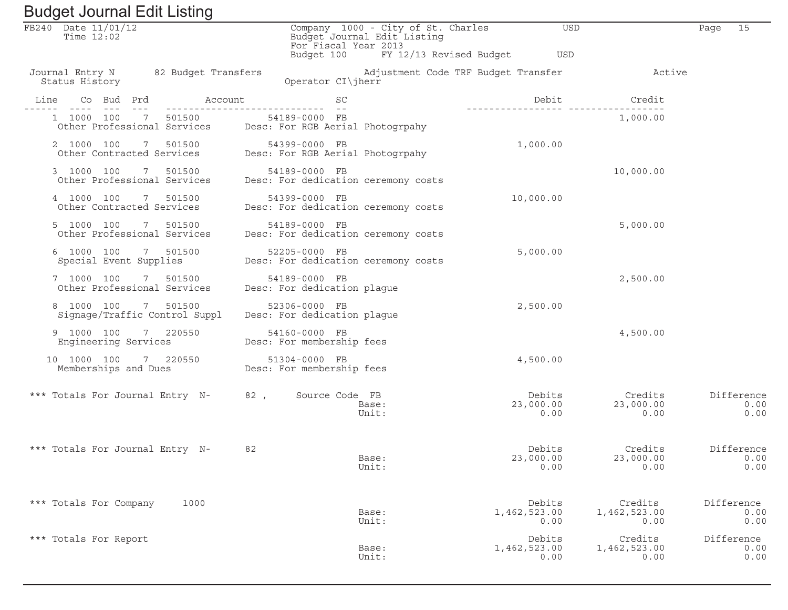| FB240 Date 11/01/12<br>Time $12:02$                                                                           | For Fiscal Year 2013                                 | Company 1000 - City of St. Charles<br>Budget Journal Edit Listing |                         | USD                                                         | 15<br>Page                 |
|---------------------------------------------------------------------------------------------------------------|------------------------------------------------------|-------------------------------------------------------------------|-------------------------|-------------------------------------------------------------|----------------------------|
|                                                                                                               | Budget 100                                           |                                                                   | FY 12/13 Revised Budget | USD                                                         |                            |
| Journal Entry N 82 Budget Transfers<br>Status History                                                         | Operator CI\jherr                                    |                                                                   |                         | Adjustment Code TRF Budget Transfer The Machive             |                            |
| Co Bud Prd Account<br>Line                                                                                    | SC                                                   |                                                                   |                         | Debit<br>Credit                                             |                            |
| 1 1000 100 7 501500<br>Other Professional Services Desc: For RGB Aerial Photogrpahy                           | 54189-0000 FB                                        |                                                                   |                         | 1,000.00                                                    |                            |
| 2 1000 100<br>2 1000 100 7 501500 54399-0000 FB<br>Other Contracted Services Desc: For RGB Aerial Photogrpahy |                                                      |                                                                   | 1,000.00                |                                                             |                            |
| 3 1000 100 7 501500<br>Other Professional Services                                                            | 54189-0000 FB<br>Desc: For dedication ceremony costs |                                                                   |                         | 10,000.00                                                   |                            |
| 4 1000 100 7 501500<br>Other Contracted Services                                                              | 54399-0000 FB<br>Desc: For dedication ceremony costs |                                                                   | 10,000.00               |                                                             |                            |
| 5 1000 100 7 501500<br>Other Professional Services                                                            | 54189-0000 FB<br>Desc: For dedication ceremony costs |                                                                   |                         | 5,000.00                                                    |                            |
| 6 1000 100 7 501500<br>Special Event Supplies                                                                 | 52205-0000 FB<br>Desc: For dedication ceremony costs |                                                                   | 5,000.00                |                                                             |                            |
| 7 1000 100 7 501500<br>Other Professional Services                                                            | 54189-0000 FB<br>Desc: For dedication plague         |                                                                   |                         | 2,500.00                                                    |                            |
| 8 1000 100 7 501500<br>Signage/Traffic Control Suppl                                                          | 52306-0000 FB<br>Desc: For dedication plague         |                                                                   | 2,500.00                |                                                             |                            |
| 9 1000 100 7 220550<br>Engineering Services                                                                   | 54160-0000 FB<br>Desc: For membership fees           |                                                                   |                         | 4,500.00                                                    |                            |
| 10 1000 100<br>7 220550<br>Memberships and Dues                                                               | 51304-0000 FB<br>Desc: For membership fees           |                                                                   | 4,500.00                |                                                             |                            |
| *** Totals For Journal Entry N-                                                                               | 82, Source Code FB                                   | Base:<br>Unit:                                                    |                         | Debits<br>Credits<br>23,000.00<br>23,000.00<br>0.00<br>0.00 | Difference<br>0.00<br>0.00 |
| *** Totals For Journal Entry N-                                                                               | 82                                                   | Base:<br>Unit:                                                    | 23,000.00               | Debits<br>Credits<br>23,000.00<br>0.00<br>0.00              | Difference<br>0.00<br>0.00 |
| *** Totals For Company<br>1000                                                                                |                                                      | Base:<br>Unit:                                                    | Debits<br>1,462,523.00  | Credits<br>1,462,523.00<br>0.00<br>0.00                     | Difference<br>0.00<br>0.00 |
| *** Totals For Report                                                                                         |                                                      | Base:<br>Unit:                                                    | Debits<br>1,462,523.00  | Credits<br>1,462,523.00<br>0.00<br>0.00                     | Difference<br>0.00<br>0.00 |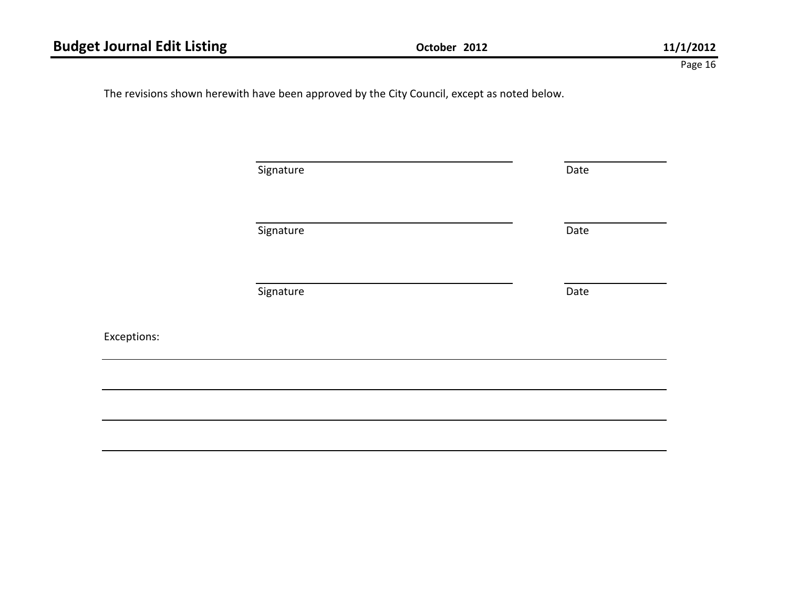Exceptions:

The revisions shown herewith have been approved by the City Council, except as noted below.

| Signature | Date |
|-----------|------|
| Signature | Date |
| Signature | Date |
|           |      |
|           |      |
|           |      |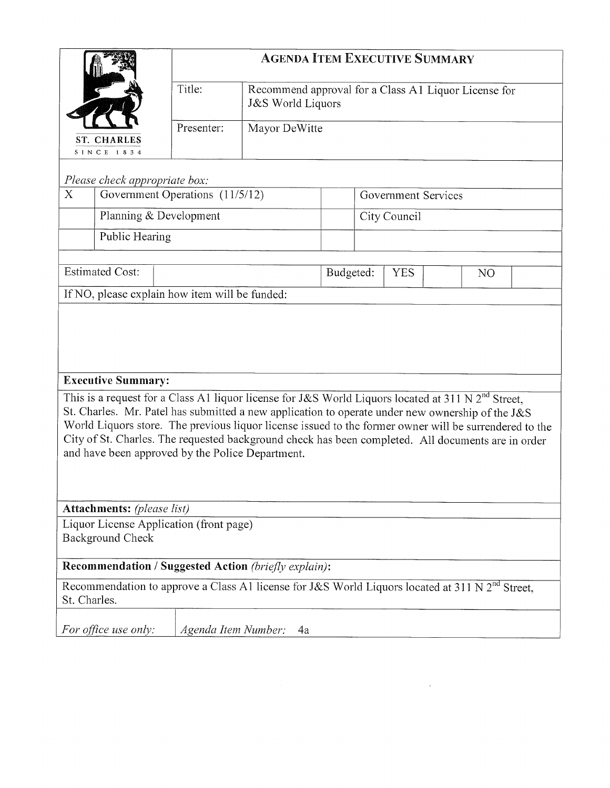|              |                                                                               |                     |                                                             |           | <b>AGENDA ITEM EXECUTIVE SUMMARY</b> |                                                                                                                                                                                                                                                                                                                                                                                                                             |
|--------------|-------------------------------------------------------------------------------|---------------------|-------------------------------------------------------------|-----------|--------------------------------------|-----------------------------------------------------------------------------------------------------------------------------------------------------------------------------------------------------------------------------------------------------------------------------------------------------------------------------------------------------------------------------------------------------------------------------|
|              |                                                                               | Title:              | <b>J&amp;S World Liquors</b>                                |           |                                      | Recommend approval for a Class A1 Liquor License for                                                                                                                                                                                                                                                                                                                                                                        |
|              | <b>ST. CHARLES</b><br><b>SINCE 1834</b>                                       | Presenter:          | Mayor DeWitte                                               |           |                                      |                                                                                                                                                                                                                                                                                                                                                                                                                             |
|              | Please check appropriate box:                                                 |                     |                                                             |           |                                      |                                                                                                                                                                                                                                                                                                                                                                                                                             |
| X            | Government Operations (11/5/12)                                               |                     |                                                             |           | Government Services                  |                                                                                                                                                                                                                                                                                                                                                                                                                             |
|              | Planning & Development                                                        |                     |                                                             |           | City Council                         |                                                                                                                                                                                                                                                                                                                                                                                                                             |
|              | Public Hearing                                                                |                     |                                                             |           |                                      |                                                                                                                                                                                                                                                                                                                                                                                                                             |
|              |                                                                               |                     |                                                             |           |                                      |                                                                                                                                                                                                                                                                                                                                                                                                                             |
|              | <b>Estimated Cost:</b>                                                        |                     |                                                             | Budgeted: | <b>YES</b>                           | N <sub>O</sub>                                                                                                                                                                                                                                                                                                                                                                                                              |
|              | <b>Executive Summary:</b><br>and have been approved by the Police Department. |                     |                                                             |           |                                      | This is a request for a Class A1 liquor license for J&S World Liquors located at 311 N $2^{nd}$ Street,<br>St. Charles. Mr. Patel has submitted a new application to operate under new ownership of the J&S<br>World Liquors store. The previous liquor license issued to the former owner will be surrendered to the<br>City of St. Charles. The requested background check has been completed. All documents are in order |
|              | <b>Attachments:</b> (please list)                                             |                     |                                                             |           |                                      |                                                                                                                                                                                                                                                                                                                                                                                                                             |
|              | Liquor License Application (front page)<br><b>Background Check</b>            |                     |                                                             |           |                                      |                                                                                                                                                                                                                                                                                                                                                                                                                             |
|              |                                                                               |                     | <b>Recommendation / Suggested Action (briefly explain):</b> |           |                                      |                                                                                                                                                                                                                                                                                                                                                                                                                             |
| St. Charles. |                                                                               |                     |                                                             |           |                                      | Recommendation to approve a Class A1 license for J&S World Liquors located at 311 N $2nd$ Street,                                                                                                                                                                                                                                                                                                                           |
|              | For office use only:                                                          | Agenda Item Number: | 4a                                                          |           |                                      |                                                                                                                                                                                                                                                                                                                                                                                                                             |

 $\label{eq:2.1} \frac{1}{\sqrt{2}}\left(\frac{1}{\sqrt{2}}\right)^{2} \left(\frac{1}{\sqrt{2}}\right)^{2} \left(\frac{1}{\sqrt{2}}\right)^{2} \left(\frac{1}{\sqrt{2}}\right)^{2} \left(\frac{1}{\sqrt{2}}\right)^{2} \left(\frac{1}{\sqrt{2}}\right)^{2} \left(\frac{1}{\sqrt{2}}\right)^{2} \left(\frac{1}{\sqrt{2}}\right)^{2} \left(\frac{1}{\sqrt{2}}\right)^{2} \left(\frac{1}{\sqrt{2}}\right)^{2} \left(\frac{1}{\sqrt{2}}\right)^{2} \left(\$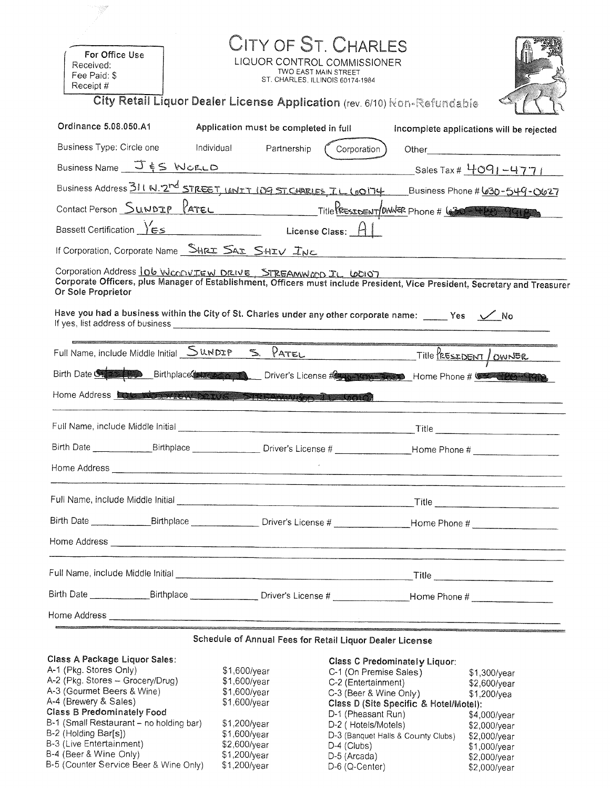| For Office Use<br>Received:<br>Fee Paid: \$<br>Receipt #                                                                                                                                                                                                                                                                          |                                                                                                                                | CITY OF ST. CHARLES<br>LIQUOR CONTROL COMMISSIONER<br>TWO EAST MAIN STREET<br>ST. CHARLES, ILLINOIS 60174-1984                                                                                                                                                  |       |                                                                                                                 |
|-----------------------------------------------------------------------------------------------------------------------------------------------------------------------------------------------------------------------------------------------------------------------------------------------------------------------------------|--------------------------------------------------------------------------------------------------------------------------------|-----------------------------------------------------------------------------------------------------------------------------------------------------------------------------------------------------------------------------------------------------------------|-------|-----------------------------------------------------------------------------------------------------------------|
| City Retail Liquor Dealer License Application (rev. 6/10) Non-Refundable                                                                                                                                                                                                                                                          |                                                                                                                                |                                                                                                                                                                                                                                                                 |       |                                                                                                                 |
| Ordinance 5.08.050.A1                                                                                                                                                                                                                                                                                                             | Application must be completed in full                                                                                          |                                                                                                                                                                                                                                                                 |       | Incomplete applications will be rejected                                                                        |
| Business Type: Circle one                                                                                                                                                                                                                                                                                                         | Individual<br>Partnership                                                                                                      | Corporation                                                                                                                                                                                                                                                     |       |                                                                                                                 |
| Business Name $J \leq K$ WCELD                                                                                                                                                                                                                                                                                                    |                                                                                                                                | <u> 1990 - Johann Barbara, martin d</u>                                                                                                                                                                                                                         |       | _Sales Tax # 4091-4771                                                                                          |
| Business Address 311 N. 2 <sup>rd</sup> STREET, UNIT 109 ST. CHARLES TL (00174 Business Phone # <u>630-549-0627</u>                                                                                                                                                                                                               |                                                                                                                                |                                                                                                                                                                                                                                                                 |       |                                                                                                                 |
| Contact Person SUNDIP PATEL Title RESIDENT WWER Phone # 630 1919                                                                                                                                                                                                                                                                  |                                                                                                                                |                                                                                                                                                                                                                                                                 |       |                                                                                                                 |
| Bassett Certification YES License Class: H                                                                                                                                                                                                                                                                                        |                                                                                                                                |                                                                                                                                                                                                                                                                 |       |                                                                                                                 |
| If Corporation, Corporate Name SHRI SAI SHIV INC                                                                                                                                                                                                                                                                                  |                                                                                                                                |                                                                                                                                                                                                                                                                 |       |                                                                                                                 |
| Corporation Address 106 WCODVIEW DRIVE STREAMWCOD IL 60107<br>Corporate Officers, plus Manager of Establishment, Officers must include President, Vice President, Secretary and Treasurer<br>Or Sole Proprietor<br>Have you had a business within the City of St. Charles under any other corporate name: _____ Yes $\sqrt{2}$ No |                                                                                                                                |                                                                                                                                                                                                                                                                 |       |                                                                                                                 |
| Full Name, include Middle Initial <u>SUNDIP S. PATEL</u> Title PRESEDENT / OWNER                                                                                                                                                                                                                                                  |                                                                                                                                |                                                                                                                                                                                                                                                                 |       |                                                                                                                 |
| Birth Date Strong Birthplace Birthplace Driver's License Reports of the Birth Date Of the Birth Birthplace Company                                                                                                                                                                                                                |                                                                                                                                |                                                                                                                                                                                                                                                                 |       |                                                                                                                 |
| Home Address <b>Late Markey PRAVE STREAMAN DE LOCAL</b>                                                                                                                                                                                                                                                                           |                                                                                                                                |                                                                                                                                                                                                                                                                 |       |                                                                                                                 |
|                                                                                                                                                                                                                                                                                                                                   |                                                                                                                                |                                                                                                                                                                                                                                                                 | Title |                                                                                                                 |
| Birth Date<br>Birthplace __                                                                                                                                                                                                                                                                                                       |                                                                                                                                |                                                                                                                                                                                                                                                                 |       |                                                                                                                 |
|                                                                                                                                                                                                                                                                                                                                   |                                                                                                                                |                                                                                                                                                                                                                                                                 |       |                                                                                                                 |
|                                                                                                                                                                                                                                                                                                                                   |                                                                                                                                |                                                                                                                                                                                                                                                                 |       |                                                                                                                 |
|                                                                                                                                                                                                                                                                                                                                   |                                                                                                                                |                                                                                                                                                                                                                                                                 |       |                                                                                                                 |
|                                                                                                                                                                                                                                                                                                                                   |                                                                                                                                |                                                                                                                                                                                                                                                                 |       |                                                                                                                 |
|                                                                                                                                                                                                                                                                                                                                   |                                                                                                                                |                                                                                                                                                                                                                                                                 |       |                                                                                                                 |
|                                                                                                                                                                                                                                                                                                                                   |                                                                                                                                |                                                                                                                                                                                                                                                                 |       |                                                                                                                 |
|                                                                                                                                                                                                                                                                                                                                   |                                                                                                                                |                                                                                                                                                                                                                                                                 |       |                                                                                                                 |
|                                                                                                                                                                                                                                                                                                                                   | Schedule of Annual Fees for Retail Liquor Dealer License                                                                       |                                                                                                                                                                                                                                                                 |       |                                                                                                                 |
| <b>Class A Package Liquor Sales:</b><br>A-1 (Pkg. Stores Only)<br>A-2 (Pkg. Stores - Grocery/Drug)<br>A-3 (Gourmet Beers & Wine)<br>A-4 (Brewery & Sales)<br><b>Class B Predominately Food</b><br>B-1 (Small Restaurant - no holding bar)<br>B-2 (Holding Bar[s])<br>B-3 (Live Entertainment)<br>B-4 (Beer & Wine Only)           | \$1,600/year<br>\$1,600/year<br>$$1,600$ /year<br>\$1,600/year<br>\$1,200/year<br>\$1,600/year<br>\$2,600/year<br>\$1,200/year | <b>Class C Predominately Liquor:</b><br>C-1 (On Premise Sales)<br>C-2 (Entertainment)<br>$C-3$ (Beer & Wine Only)<br>Class D (Site Specific & Hotel/Motel):<br>D-1 (Pheasant Run)<br>D-2 (Hotels/Motels)<br>D-3 (Banquet Halls & County Clubs)<br>$D-4$ (Clubs) |       | $$1,300$ /year<br>\$2,600/year<br>\$1,200/yea<br>$$4,000$ /year<br>\$2,000/year<br>\$2,000/year<br>\$1,000/year |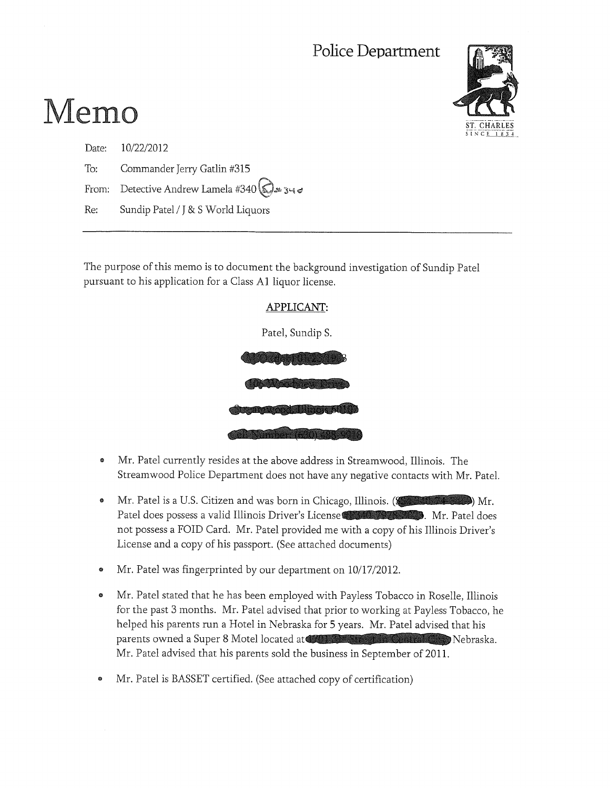## Police Department



# Memo

| Date: 10/22/2012                                    |
|-----------------------------------------------------|
| To: Commander Jerry Gatlin #315                     |
| From: Detective Andrew Lamela #340 $\bigotimes$ 340 |
| Re: Sundip Patel / J & S World Liquors              |

The purpose of this memo is to document the background investigation of Sundip Patel pursuant to his application for a Class A1 liquor license.

# APPLICANT:

Patel, Sundip S.



- Mr. Patel currently resides at the above address in Streamwood, Illinois. The ø Streamwood Police Department does not have any negative contacts with Mr. Patel.
- Mr. Patel is a U.S. Citizen and was born in Chicago, Illinois. (Service 1996) Mr.  $\bullet$ Patel does possess a valid Illinois Driver's License Champers 2008. Mr. Patel does not possess a FOID Card. Mr. Patel provided me with a copy of his Illinois Driver's License and a copy of his passport. (See attached documents)
- Mr. Patel was fingerprinted by our department on 10/17/2012.
- Mr. Patel stated that he has been employed with Payless Tobacco in Roselle, Illinois  $\bullet$ for the past 3 months. Mr. Patel advised that prior to working at Payless Tobacco, he helped his parents run a Hotel in Nebraska for 5 years. Mr. Patel advised that his parents owned a Super 8 Motel located at the state of the state of Nebraska. Mr. Patel advised that his parents sold the business in September of 2011.
- Mr. Patel is BASSET certified. (See attached copy of certification)  $\bullet$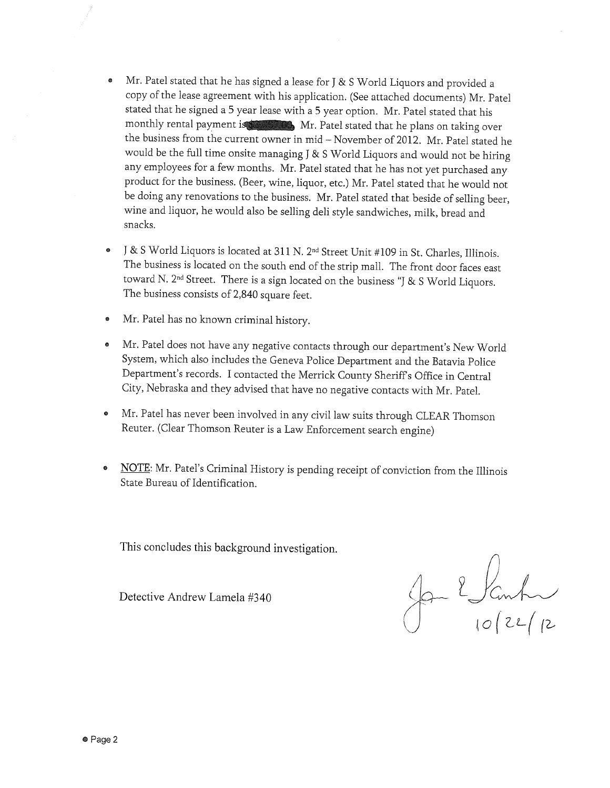- Mr. Patel stated that he has signed a lease for J & S World Liquors and provided a  $\bullet$ copy of the lease agreement with his application. (See attached documents) Mr. Patel stated that he signed a 5 year lease with a 5 year option. Mr. Patel stated that his monthly rental payment is Mr. Patel stated that he plans on taking over the business from the current owner in mid - November of 2012. Mr. Patel stated he would be the full time onsite managing J & S World Liquors and would not be hiring any employees for a few months. Mr. Patel stated that he has not yet purchased any product for the business. (Beer, wine, liquor, etc.) Mr. Patel stated that he would not be doing any renovations to the business. Mr. Patel stated that beside of selling beer, wine and liquor, he would also be selling deli style sandwiches, milk, bread and snacks.
- J & S World Liquors is located at 311 N. 2<sup>nd</sup> Street Unit #109 in St. Charles, Illinois. The business is located on the south end of the strip mall. The front door faces east toward N.  $2^{nd}$  Street. There is a sign located on the business "J & S World Liquors. The business consists of 2,840 square feet.
- Mr. Patel has no known criminal history.  $\bullet$
- Mr. Patel does not have any negative contacts through our department's New World System, which also includes the Geneva Police Department and the Batavia Police Department's records. I contacted the Merrick County Sheriff's Office in Central City, Nebraska and they advised that have no negative contacts with Mr. Patel.
- Mr. Patel has never been involved in any civil law suits through CLEAR Thomson  $\bullet$ Reuter. (Clear Thomson Reuter is a Law Enforcement search engine)
- NOTE: Mr. Patel's Criminal History is pending receipt of conviction from the Illinois State Bureau of Identification.

This concludes this background investigation.

Detective Andrew Lamela #340

Jan 2 Janh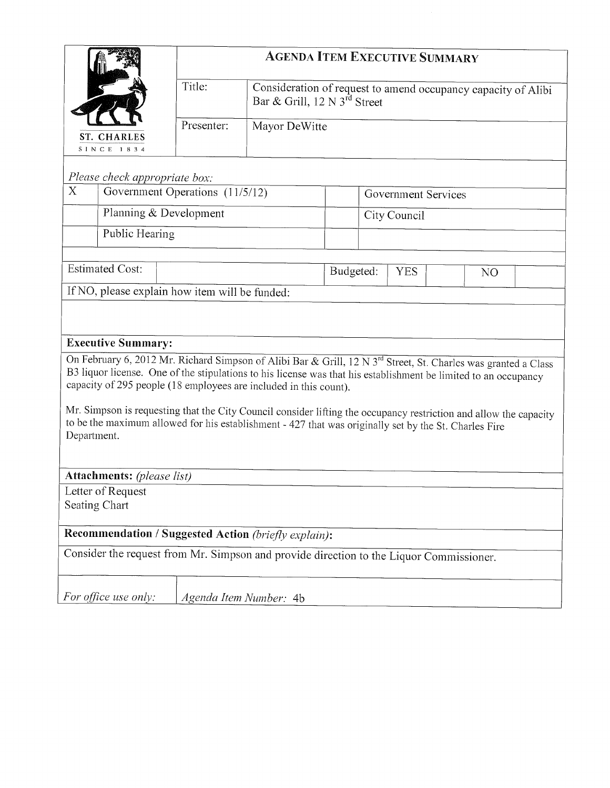|                                                                                                                                                                                                                        |                                 |               | <b>AGENDA ITEM EXECUTIVE SUMMARY</b>              |                     |                                                                                                                                                                                                                                                                                                                                                                    |
|------------------------------------------------------------------------------------------------------------------------------------------------------------------------------------------------------------------------|---------------------------------|---------------|---------------------------------------------------|---------------------|--------------------------------------------------------------------------------------------------------------------------------------------------------------------------------------------------------------------------------------------------------------------------------------------------------------------------------------------------------------------|
|                                                                                                                                                                                                                        | Title:                          |               | Bar & Grill, $12 \text{ N } 3^{\text{rd}}$ Street |                     | Consideration of request to amend occupancy capacity of Alibi                                                                                                                                                                                                                                                                                                      |
| ST. CHARLES<br><b>SINCE 1834</b>                                                                                                                                                                                       | Presenter:                      | Mayor DeWitte |                                                   |                     |                                                                                                                                                                                                                                                                                                                                                                    |
| Please check appropriate box:                                                                                                                                                                                          |                                 |               |                                                   |                     |                                                                                                                                                                                                                                                                                                                                                                    |
| X                                                                                                                                                                                                                      | Government Operations (11/5/12) |               |                                                   | Government Services |                                                                                                                                                                                                                                                                                                                                                                    |
|                                                                                                                                                                                                                        | Planning & Development          |               |                                                   | City Council        |                                                                                                                                                                                                                                                                                                                                                                    |
| Public Hearing                                                                                                                                                                                                         |                                 |               |                                                   |                     |                                                                                                                                                                                                                                                                                                                                                                    |
|                                                                                                                                                                                                                        |                                 |               |                                                   |                     |                                                                                                                                                                                                                                                                                                                                                                    |
| <b>Estimated Cost:</b>                                                                                                                                                                                                 |                                 |               | Budgeted:                                         | <b>YES</b>          | N <sub>O</sub>                                                                                                                                                                                                                                                                                                                                                     |
| If NO, please explain how item will be funded:                                                                                                                                                                         |                                 |               |                                                   |                     |                                                                                                                                                                                                                                                                                                                                                                    |
| <b>Executive Summary:</b><br>capacity of 295 people (18 employees are included in this count).<br>to be the maximum allowed for his establishment - 427 that was originally set by the St. Charles Fire<br>Department. |                                 |               |                                                   |                     | On February 6, 2012 Mr. Richard Simpson of Alibi Bar & Grill, 12 N 3 <sup>rd</sup> Street, St. Charles was granted a Class<br>B3 liquor license. One of the stipulations to his license was that his establishment be limited to an occupancy<br>Mr. Simpson is requesting that the City Council consider lifting the occupancy restriction and allow the capacity |
| <b>Attachments:</b> (please list)                                                                                                                                                                                      |                                 |               |                                                   |                     |                                                                                                                                                                                                                                                                                                                                                                    |
| Letter of Request                                                                                                                                                                                                      |                                 |               |                                                   |                     |                                                                                                                                                                                                                                                                                                                                                                    |
| Seating Chart                                                                                                                                                                                                          |                                 |               |                                                   |                     |                                                                                                                                                                                                                                                                                                                                                                    |
| Recommendation / Suggested Action (briefly explain):                                                                                                                                                                   |                                 |               |                                                   |                     |                                                                                                                                                                                                                                                                                                                                                                    |
| Consider the request from Mr. Simpson and provide direction to the Liquor Commissioner.                                                                                                                                |                                 |               |                                                   |                     |                                                                                                                                                                                                                                                                                                                                                                    |
|                                                                                                                                                                                                                        |                                 |               |                                                   |                     |                                                                                                                                                                                                                                                                                                                                                                    |
|                                                                                                                                                                                                                        |                                 |               |                                                   |                     |                                                                                                                                                                                                                                                                                                                                                                    |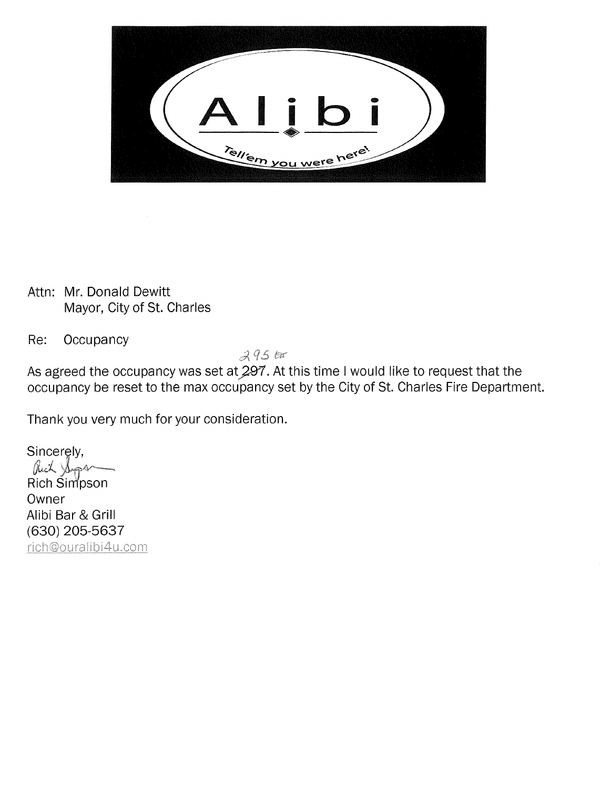

Attn: Mr. Donald Dewitt Mayor, City of St. Charles

Occupancy Re:

 $295$ tar

As agreed the occupancy was set at 297. At this time I would like to request that the occupancy be reset to the max occupancy set by the City of St. Charles Fire Department.

Thank you very much for your consideration.

Sincerely, Rich Shopan Rich Simpson Owner Alibi Bar & Grill (630) 205-5637 rich@ouralibi4u.com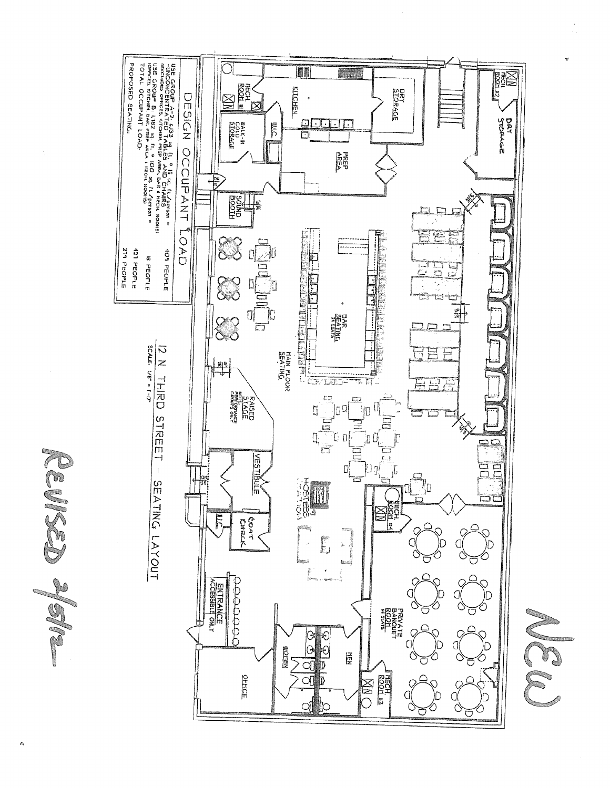

REVISED 2/9/12

b.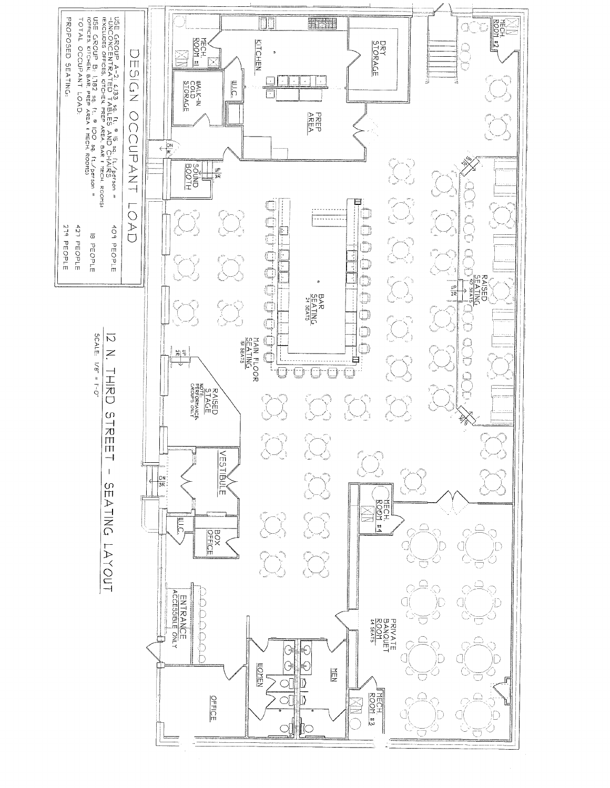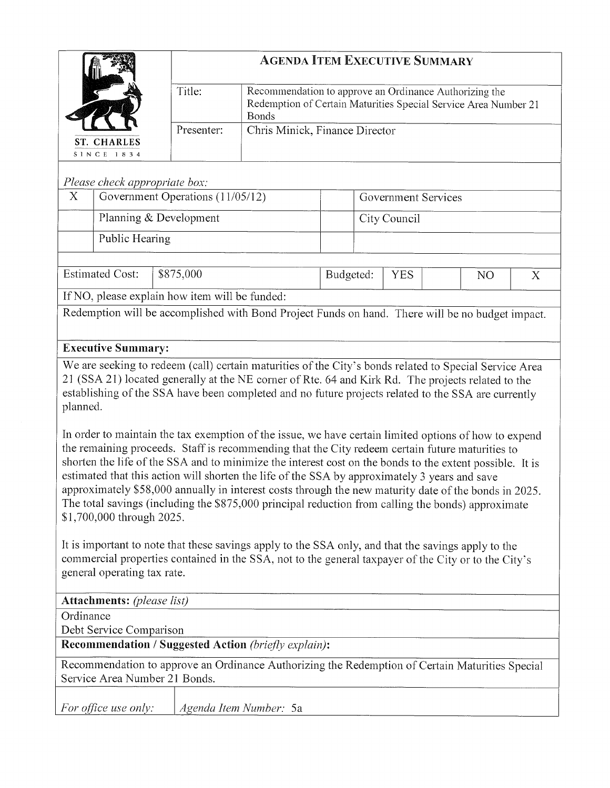|                               | <b>AGENDA ITEM EXECUTIVE SUMMARY</b> |                                                                                                                                           |  |  |  |  |
|-------------------------------|--------------------------------------|-------------------------------------------------------------------------------------------------------------------------------------------|--|--|--|--|
|                               | Title:                               | Recommendation to approve an Ordinance Authorizing the<br>Redemption of Certain Maturities Special Service Area Number 21<br><b>Bonds</b> |  |  |  |  |
| ST. CHARLES<br>SINCE 1834     | Presenter:                           | Chris Minick, Finance Director                                                                                                            |  |  |  |  |
| Please check appropriate box: |                                      |                                                                                                                                           |  |  |  |  |

#### $X$ Government Operations (11/05/12) Government Services Planning & Development City Council Public Hearing

**Estimated Cost:** \$875,000 Budgeted: **YES** NO  $\boldsymbol{\mathrm{X}}$ If NO, please explain how item will be funded:

Redemption will be accomplished with Bond Project Funds on hand. There will be no budget impact.

## **Executive Summary:**

We are seeking to redeem (call) certain maturities of the City's bonds related to Special Service Area 21 (SSA 21) located generally at the NE corner of Rte. 64 and Kirk Rd. The projects related to the establishing of the SSA have been completed and no future projects related to the SSA are currently planned.

In order to maintain the tax exemption of the issue, we have certain limited options of how to expend the remaining proceeds. Staff is recommending that the City redeem certain future maturities to shorten the life of the SSA and to minimize the interest cost on the bonds to the extent possible. It is estimated that this action will shorten the life of the SSA by approximately 3 years and save approximately \$58,000 annually in interest costs through the new maturity date of the bonds in 2025. The total savings (including the \$875,000 principal reduction from calling the bonds) approximate \$1,700,000 through 2025.

It is important to note that these savings apply to the SSA only, and that the savings apply to the commercial properties contained in the SSA, not to the general taxpayer of the City or to the City's general operating tax rate.

| <b>Attachments:</b> (please list) |                                                                                                 |
|-----------------------------------|-------------------------------------------------------------------------------------------------|
| Ordinance                         |                                                                                                 |
| Debt Service Comparison           |                                                                                                 |
|                                   | <b>Recommendation / Suggested Action (briefly explain):</b>                                     |
| Service Area Number 21 Bonds.     | Recommendation to approve an Ordinance Authorizing the Redemption of Certain Maturities Special |
| <i>For office use only:</i>       | Agenda Item Number: 5a                                                                          |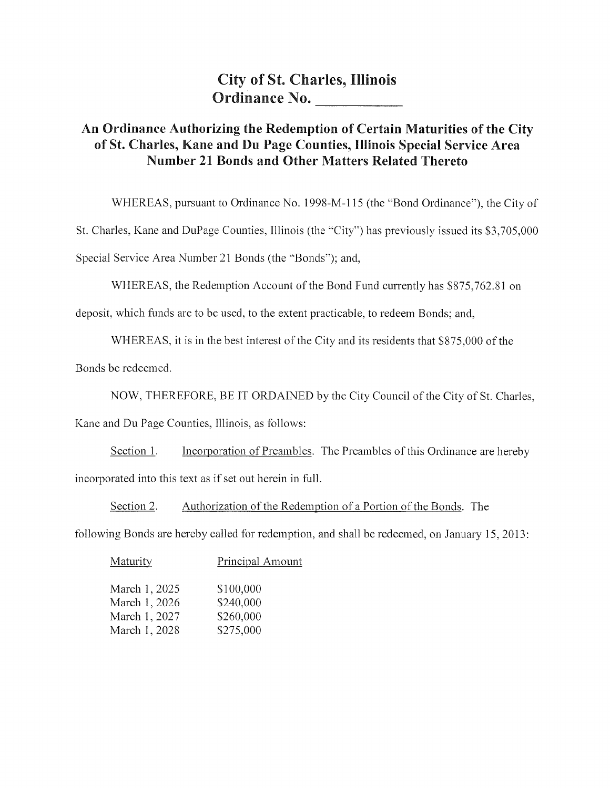**City of St. Charles, Illinois** Ordinance No.

## An Ordinance Authorizing the Redemption of Certain Maturities of the City of St. Charles, Kane and Du Page Counties, Illinois Special Service Area Number 21 Bonds and Other Matters Related Thereto

WHEREAS, pursuant to Ordinance No. 1998-M-115 (the "Bond Ordinance"), the City of

St. Charles, Kane and DuPage Counties, Illinois (the "City") has previously issued its \$3,705,000

Special Service Area Number 21 Bonds (the "Bonds"); and,

WHEREAS, the Redemption Account of the Bond Fund currently has \$875,762.81 on

deposit, which funds are to be used, to the extent practicable, to redeem Bonds; and,

WHEREAS, it is in the best interest of the City and its residents that \$875,000 of the

Bonds be redeemed.

NOW, THEREFORE, BE IT ORDAINED by the City Council of the City of St. Charles,

Kane and Du Page Counties, Illinois, as follows:

Incorporation of Preambles. The Preambles of this Ordinance are hereby Section 1. incorporated into this text as if set out herein in full.

Section 2. Authorization of the Redemption of a Portion of the Bonds. The

following Bonds are hereby called for redemption, and shall be redeemed, on January 15, 2013:

| Maturity      | Principal Amount |
|---------------|------------------|
| March 1, 2025 | \$100,000        |
| March 1, 2026 | \$240,000        |
| March 1, 2027 | \$260,000        |
| March 1, 2028 | \$275,000        |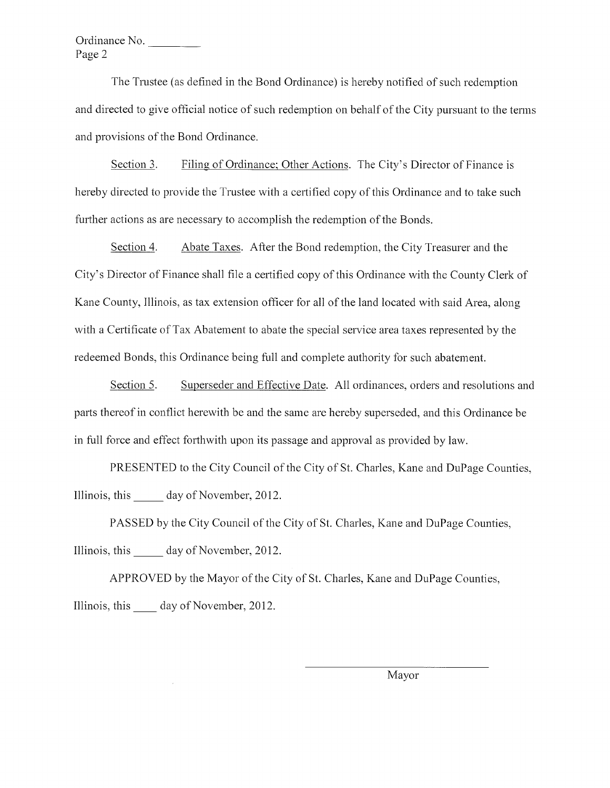Ordinance No. Page 2

The Trustee (as defined in the Bond Ordinance) is hereby notified of such redemption and directed to give official notice of such redemption on behalf of the City pursuant to the terms and provisions of the Bond Ordinance.

Section 3. Filing of Ordinance; Other Actions. The City's Director of Finance is hereby directed to provide the Trustee with a certified copy of this Ordinance and to take such further actions as are necessary to accomplish the redemption of the Bonds.

Section 4. Abate Taxes. After the Bond redemption, the City Treasurer and the City's Director of Finance shall file a certified copy of this Ordinance with the County Clerk of Kane County, Illinois, as tax extension officer for all of the land located with said Area, along with a Certificate of Tax Abatement to abate the special service area taxes represented by the redeemed Bonds, this Ordinance being full and complete authority for such abatement.

Section 5. Superseder and Effective Date. All ordinances, orders and resolutions and parts thereof in conflict herewith be and the same are hereby superseded, and this Ordinance be in full force and effect forthwith upon its passage and approval as provided by law.

PRESENTED to the City Council of the City of St. Charles, Kane and DuPage Counties, Illinois, this day of November, 2012.

PASSED by the City Council of the City of St. Charles, Kane and DuPage Counties, Illinois, this day of November, 2012.

APPROVED by the Mayor of the City of St. Charles, Kane and DuPage Counties, Illinois, this day of November, 2012.

Mavor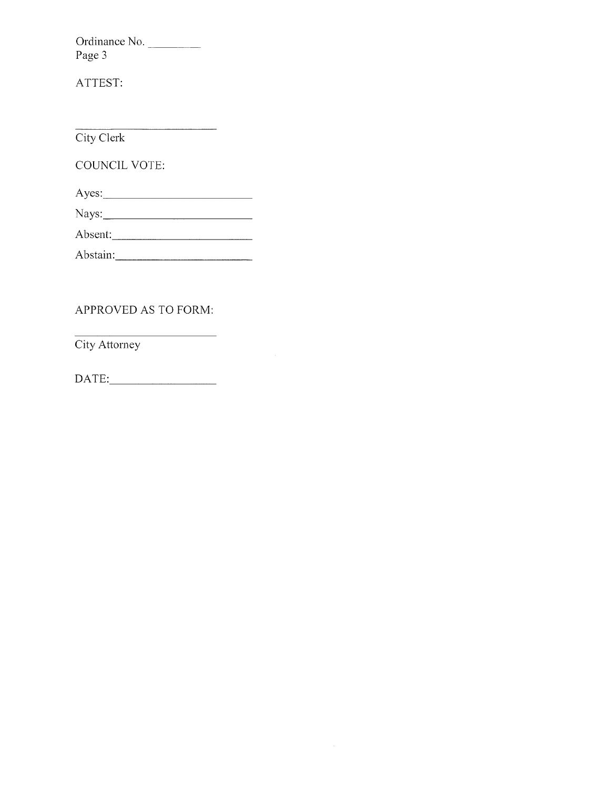Ordinance No. Page 3

ATTEST:

City Clerk

COUNCIL VOTE:

 $Ayes:$ 

Absent:

Abstain:

## APPROVED AS TO FORM:

City Attorney

 $\text{DATE:}\qquad \qquad \overbrace{\qquad \qquad }^{L}$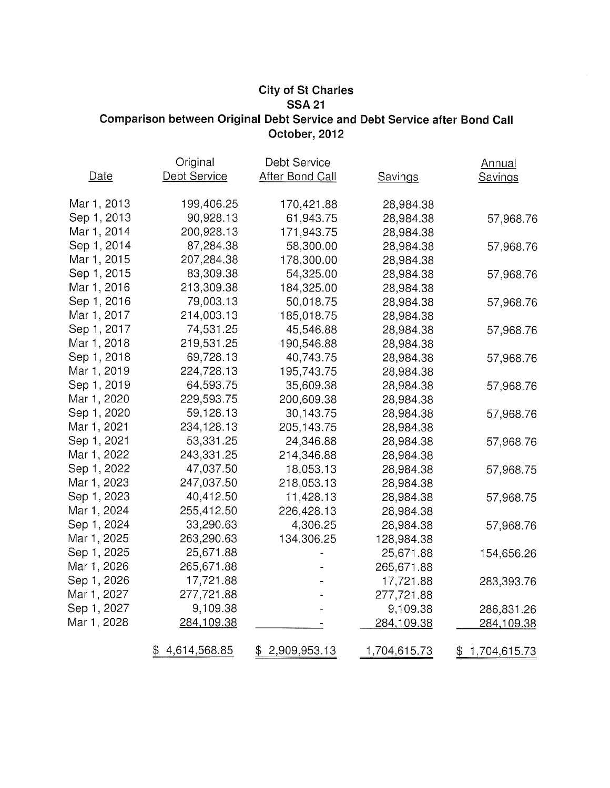## **City of St Charles SSA 21** Comparison between Original Debt Service and Debt Service after Bond Call October, 2012

|             | Original           | Debt Service           |                | <b>Annual</b>      |
|-------------|--------------------|------------------------|----------------|--------------------|
| Date        | Debt Service       | <b>After Bond Call</b> | <b>Savings</b> | <b>Savings</b>     |
| Mar 1, 2013 | 199,406.25         | 170,421.88             | 28,984.38      |                    |
| Sep 1, 2013 | 90,928.13          | 61,943.75              | 28,984.38      | 57,968.76          |
| Mar 1, 2014 | 200,928.13         | 171,943.75             | 28,984.38      |                    |
| Sep 1, 2014 | 87,284.38          | 58,300.00              | 28,984.38      | 57,968.76          |
| Mar 1, 2015 | 207,284.38         | 178,300.00             | 28,984.38      |                    |
| Sep 1, 2015 | 83,309.38          | 54,325.00              | 28,984.38      | 57,968.76          |
| Mar 1, 2016 | 213,309.38         | 184,325.00             | 28,984.38      |                    |
| Sep 1, 2016 | 79,003.13          | 50,018.75              | 28,984.38      | 57,968.76          |
| Mar 1, 2017 | 214,003.13         | 185,018.75             | 28,984.38      |                    |
| Sep 1, 2017 | 74,531.25          | 45,546.88              | 28,984.38      | 57,968.76          |
| Mar 1, 2018 | 219,531.25         | 190,546.88             | 28,984.38      |                    |
| Sep 1, 2018 | 69,728.13          | 40,743.75              | 28,984.38      | 57,968.76          |
| Mar 1, 2019 | 224,728.13         | 195,743.75             | 28,984.38      |                    |
| Sep 1, 2019 | 64,593.75          | 35,609.38              | 28,984.38      | 57,968.76          |
| Mar 1, 2020 | 229,593.75         | 200,609.38             | 28,984.38      |                    |
| Sep 1, 2020 | 59,128.13          | 30,143.75              | 28,984.38      | 57,968.76          |
| Mar 1, 2021 | 234,128.13         | 205,143.75             | 28,984.38      |                    |
| Sep 1, 2021 | 53,331.25          | 24,346.88              | 28,984.38      | 57,968.76          |
| Mar 1, 2022 | 243,331.25         | 214,346.88             | 28,984.38      |                    |
| Sep 1, 2022 | 47,037.50          | 18,053.13              | 28,984.38      | 57,968.75          |
| Mar 1, 2023 | 247,037.50         | 218,053.13             | 28,984.38      |                    |
| Sep 1, 2023 | 40,412.50          | 11,428.13              | 28,984.38      | 57,968.75          |
| Mar 1, 2024 | 255,412.50         | 226,428.13             | 28,984.38      |                    |
| Sep 1, 2024 | 33,290.63          | 4,306.25               | 28,984.38      | 57,968.76          |
| Mar 1, 2025 | 263,290.63         | 134,306.25             | 128,984.38     |                    |
| Sep 1, 2025 | 25,671.88          |                        | 25,671.88      | 154,656.26         |
| Mar 1, 2026 | 265,671.88         |                        | 265,671.88     |                    |
| Sep 1, 2026 | 17,721.88          |                        | 17,721.88      | 283,393.76         |
| Mar 1, 2027 | 277,721.88         |                        | 277,721.88     |                    |
| Sep 1, 2027 | 9,109.38           |                        | 9,109.38       | 286,831.26         |
| Mar 1, 2028 | 284,109.38         |                        | 284,109.38     | 284,109.38         |
|             | 4,614,568.85<br>\$ | 2,909,953.13           | 1,704,615.73   | \$<br>1,704,615.73 |